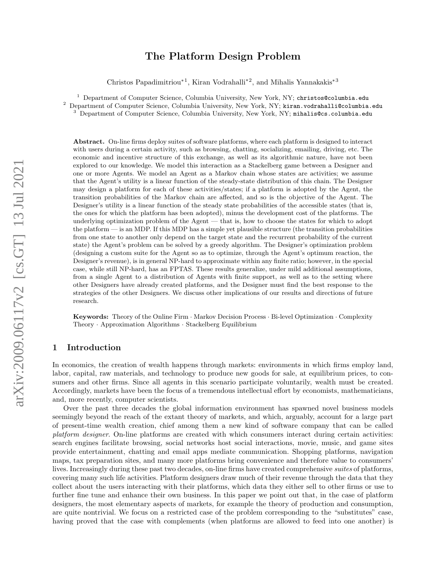# The Platform Design Problem

Christos Papadimitriou<sup>\*1</sup>, Kiran Vodrahalli<sup>\*2</sup>, and Mihalis Yannakakis<sup>\*3</sup>

<span id="page-0-0"></span><sup>1</sup> Department of Computer Science, Columbia University, New York, NY; christos@columbia.edu

<sup>2</sup> Department of Computer Science, Columbia University, New York, NY; kiran.vodrahalli@columbia.edu

Department of Computer Science, Columbia University, New York, NY; mihalis@cs.columbia.edu

Abstract. On-line firms deploy suites of software platforms, where each platform is designed to interact with users during a certain activity, such as browsing, chatting, socializing, emailing, driving, etc. The economic and incentive structure of this exchange, as well as its algorithmic nature, have not been explored to our knowledge. We model this interaction as a Stackelberg game between a Designer and one or more Agents. We model an Agent as a Markov chain whose states are activities; we assume that the Agent's utility is a linear function of the steady-state distribution of this chain. The Designer may design a platform for each of these activities/states; if a platform is adopted by the Agent, the transition probabilities of the Markov chain are affected, and so is the objective of the Agent. The Designer's utility is a linear function of the steady state probabilities of the accessible states (that is, the ones for which the platform has been adopted), minus the development cost of the platforms. The underlying optimization problem of the Agent — that is, how to choose the states for which to adopt the platform — is an MDP. If this MDP has a simple yet plausible structure (the transition probabilities from one state to another only depend on the target state and the recurrent probability of the current state) the Agent's problem can be solved by a greedy algorithm. The Designer's optimization problem (designing a custom suite for the Agent so as to optimize, through the Agent's optimum reaction, the Designer's revenue), is in general NP-hard to approximate within any finite ratio; however, in the special case, while still NP-hard, has an FPTAS. These results generalize, under mild additional assumptions, from a single Agent to a distribution of Agents with finite support, as well as to the setting where other Designers have already created platforms, and the Designer must find the best response to the strategies of the other Designers. We discuss other implications of our results and directions of future research.

Keywords: Theory of the Online Firm · Markov Decision Process · Bi-level Optimization · Complexity Theory · Approximation Algorithms · Stackelberg Equilibrium

# 1 Introduction

In economics, the creation of wealth happens through markets: environments in which firms employ land, labor, capital, raw materials, and technology to produce new goods for sale, at equilibrium prices, to consumers and other firms. Since all agents in this scenario participate voluntarily, wealth must be created. Accordingly, markets have been the focus of a tremendous intellectual effort by economists, mathematicians, and, more recently, computer scientists.

Over the past three decades the global information environment has spawned novel business models seemingly beyond the reach of the extant theory of markets, and which, arguably, account for a large part of present-time wealth creation, chief among them a new kind of software company that can be called platform designer. On-line platforms are created with which consumers interact during certain activities: search engines facilitate browsing, social networks host social interactions, movie, music, and game sites provide entertainment, chatting and email apps mediate communication. Shopping platforms, navigation maps, tax preparation sites, and many more platforms bring convenience and therefore value to consumers' lives. Increasingly during these past two decades, on-line firms have created comprehensive suites of platforms, covering many such life activities. Platform designers draw much of their revenue through the data that they collect about the users interacting with their platforms, which data they either sell to other firms or use to further fine tune and enhance their own business. In this paper we point out that, in the case of platform designers, the most elementary aspects of markets, for example the theory of production and consumption, are quite nontrivial. We focus on a restricted case of the problem corresponding to the "substitutes" case, having proved that the case with complements (when platforms are allowed to feed into one another) is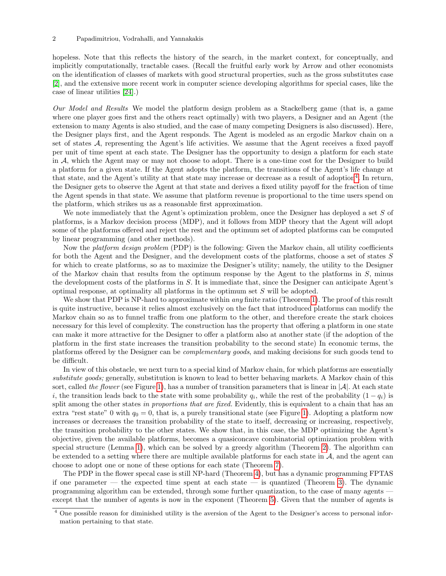hopeless. Note that this reflects the history of the search, in the market context, for conceptually, and implicitly computationally, tractable cases. (Recall the fruitful early work by Arrow and other economists on the identification of classes of markets with good structural properties, such as the gross substitutes case [\[2\]](#page-14-0), and the extensive more recent work in computer science developing algorithms for special cases, like the case of linear utilities [\[24\]](#page-15-0).)

Our Model and Results We model the platform design problem as a Stackelberg game (that is, a game where one player goes first and the others react optimally) with two players, a Designer and an Agent (the extension to many Agents is also studied, and the case of many competing Designers is also discussed). Here, the Designer plays first, and the Agent responds. The Agent is modeled as an ergodic Markov chain on a set of states A, representing the Agent's life activities. We assume that the Agent receives a fixed payoff per unit of time spent at each state. The Designer has the opportunity to design a platform for each state in A, which the Agent may or may not choose to adopt. There is a one-time cost for the Designer to build a platform for a given state. If the Agent adopts the platform, the transitions of the Agent's life change at that state, and the Agent's utility at that state may increase or decrease as a result of adoption<sup>[4](#page-1-0)</sup>. In return, the Designer gets to observe the Agent at that state and derives a fixed utility payoff for the fraction of time the Agent spends in that state. We assume that platform revenue is proportional to the time users spend on the platform, which strikes us as a reasonable first approximation.

We note immediately that the Agent's optimization problem, once the Designer has deployed a set  $S$  of platforms, is a Markov decision process (MDP), and it follows from MDP theory that the Agent will adopt some of the platforms offered and reject the rest and the optimum set of adopted platforms can be computed by linear programming (and other methods).

Now the *platform design problem* (PDP) is the following: Given the Markov chain, all utility coefficients for both the Agent and the Designer, and the development costs of the platforms, choose a set of states S for which to create platforms, so as to maximize the Designer's utility; namely, the utility to the Designer of the Markov chain that results from the optimum response by the Agent to the platforms in  $S$ , minus the development costs of the platforms in S. It is immediate that, since the Designer can anticipate Agent's optimal response, at optimality all platforms in the optimum set S will be adopted.

We show that PDP is NP-hard to approximate within *any* finite ratio (Theorem [1\)](#page-3-0). The proof of this result is quite instructive, because it relies almost exclusively on the fact that introduced platforms can modify the Markov chain so as to funnel traffic from one platform to the other, and therefore create the stark choices necessary for this level of complexity. The construction has the property that offering a platform in one state can make it more attractive for the Designer to offer a platform also at another state (if the adoption of the platform in the first state increases the transition probability to the second state) In economic terms, the platforms offered by the Designer can be complementary goods, and making decisions for such goods tend to be difficult.

In view of this obstacle, we next turn to a special kind of Markov chain, for which platforms are essentially substitute goods; generally, substitution is known to lead to better behaving markets. A Markov chain of this sort, called the flower (see Figure [1\)](#page-4-0), has a number of transition parameters that is linear in  $|\mathcal{A}|$ . At each state i, the transition leads back to the state with some probability  $q_i$ , while the rest of the probability  $(1 - q_i)$  is split among the other states in proportions that are fixed. Evidently, this is equivalent to a chain that has an extra "rest state" 0 with  $q_0 = 0$ , that is, a purely transitional state (see Figure [1\)](#page-4-0). Adopting a platform now increases or decreases the transition probability of the state to itself, decreasing or increasing, respectively, the transition probability to the other states. We show that, in this case, the MDP optimizing the Agent's objective, given the available platforms, becomes a quasiconcave combinatorial optimization problem with special structure (Lemma [1\)](#page-4-1), which can be solved by a greedy algorithm (Theorem [2\)](#page-5-0). The algorithm can be extended to a setting where there are multiple available platforms for each state in  $A$ , and the agent can choose to adopt one or none of these options for each state (Theorem [7\)](#page-11-0).

The PDP in the flower specal case is still NP-hard (Theorem [4\)](#page-8-0), but has a dynamic programming FPTAS if one parameter — the expected time spent at each state — is quantized (Theorem [3\)](#page-8-1). The dynamic programming algorithm can be extended, through some further quantization, to the case of many agents except that the number of agents is now in the exponent (Theorem [5\)](#page-10-0). Given that the number of agents is

<span id="page-1-0"></span><sup>&</sup>lt;sup>4</sup> One possible reason for diminished utility is the aversion of the Agent to the Designer's access to personal information pertaining to that state.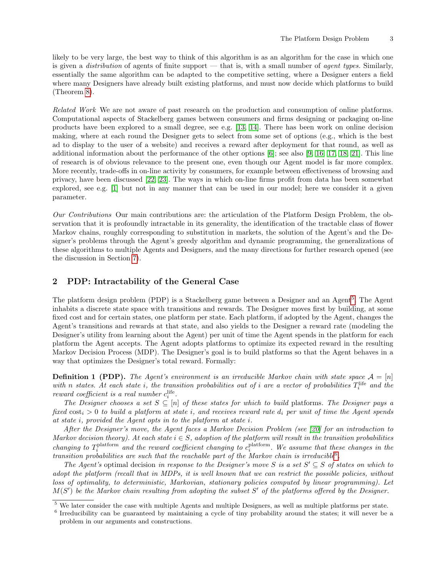likely to be very large, the best way to think of this algorithm is as an algorithm for the case in which one is given a distribution of agents of finite support — that is, with a small number of agent types. Similarly, essentially the same algorithm can be adapted to the competitive setting, where a Designer enters a field where many Designers have already built existing platforms, and must now decide which platforms to build (Theorem [8\)](#page-12-0).

Related Work We are not aware of past research on the production and consumption of online platforms. Computational aspects of Stackelberg games between consumers and firms designing or packaging on-line products have been explored to a small degree, see e.g. [\[13,](#page-14-1) [14\]](#page-14-2). There has been work on online decision making, where at each round the Designer gets to select from some set of options (e.g., which is the best ad to display to the user of a website) and receives a reward after deployment for that round, as well as additional information about the performance of the other options [\[6\]](#page-14-3); see also [\[9,](#page-14-4) [16,](#page-14-5) [17,](#page-15-1) [18,](#page-15-2) [21\]](#page-15-3). This line of research is of obvious relevance to the present one, even though our Agent model is far more complex. More recently, trade-offs in on-line activity by consumers, for example between effectiveness of browsing and privacy, have been discussed [\[22,](#page-15-4) [23\]](#page-15-5). The ways in which on-line firms profit from data has been somewhat explored, see e.g. [\[1\]](#page-14-6) but not in any manner that can be used in our model; here we consider it a given parameter.

Our Contributions Our main contributions are: the articulation of the Platform Design Problem, the observation that it is profoundly intractable in its generality, the identification of the tractable class of flower Markov chains, roughly corresponding to substitution in markets, the solution of the Agent's and the Designer's problems through the Agent's greedy algorithm and dynamic programming, the generalizations of these algorithms to multiple Agents and Designers, and the many directions for further research opened (see the discussion in Section [7\)](#page-12-1).

# <span id="page-2-2"></span>2 PDP: Intractability of the General Case

The platform design problem (PDP) is a Stackelberg game between a Designer and an Agent<sup>[5](#page-2-0)</sup>. The Agent inhabits a discrete state space with transitions and rewards. The Designer moves first by building, at some fixed cost and for certain states, one platform per state. Each platform, if adopted by the Agent, changes the Agent's transitions and rewards at that state, and also yields to the Designer a reward rate (modeling the Designer's utility from learning about the Agent) per unit of time the Agent spends in the platform for each platform the Agent accepts. The Agent adopts platforms to optimize its expected reward in the resulting Markov Decision Process (MDP). The Designer's goal is to build platforms so that the Agent behaves in a way that optimizes the Designer's total reward. Formally:

<span id="page-2-3"></span>**Definition 1 (PDP).** The Agent's environment is an irreducible Markov chain with state space  $\mathcal{A} = [n]$ with n states. At each state i, the transition probabilities out of i are a vector of probabilities  $T_i^{\text{life}}$  and the reward coefficient is a real number  $c_i^{\text{life}}$ .

The Designer chooses a set  $S \subseteq [n]$  of these states for which to build platforms. The Designer pays a fixed  $\cos i > 0$  to build a platform at state i, and receives reward rate  $d_i$  per unit of time the Agent spends at state i, provided the Agent opts in to the platform at state i.

After the Designer's move, the Agent faces a Markov Decision Problem (see [\[20\]](#page-15-6) for an introduction to Markov decision theory). At each state  $i \in S$ , adoption of the platform will result in the transition probabilities changing to  $T_i^{\text{platform}}$  and the reward coefficient changing to  $c_i^{\text{platform}}$ . We assume that these changes in the transition probabilities are such that the reachable part of the Markov chain is irreducible<sup>[6](#page-2-1)</sup>.

The Agent's optimal decision in response to the Designer's move S is a set  $S' \subseteq S$  of states on which to adopt the platform (recall that in MDPs, it is well known that we can restrict the possible policies, without loss of optimality, to deterministic, Markovian, stationary policies computed by linear programming). Let  $M(S')$  be the Markov chain resulting from adopting the subset S' of the platforms offered by the Designer.

<span id="page-2-0"></span><sup>&</sup>lt;sup>5</sup> We later consider the case with multiple Agents and multiple Designers, as well as multiple platforms per state.

<span id="page-2-1"></span><sup>&</sup>lt;sup>6</sup> Irreducibility can be guaranteed by maintaining a cycle of tiny probability around the states; it will never be a problem in our arguments and constructions.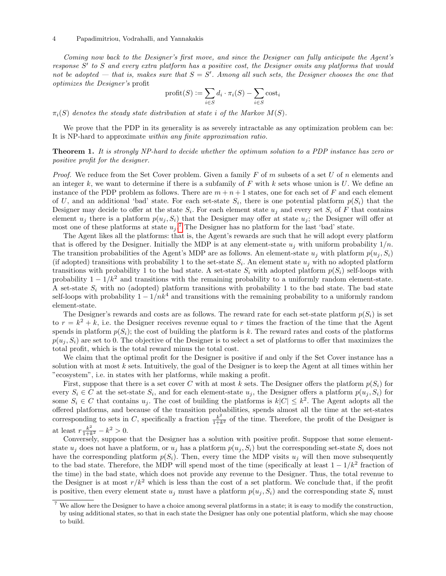#### 4 Papadimitriou, Vodrahalli, and Yannakakis

Coming now back to the Designer's first move, and since the Designer can fully anticipate the Agent's response S' to S and every extra platform has a positive cost, the Designer omits any platforms that would not be adopted – that is, makes sure that  $S = S'$ . Among all such sets, the Designer chooses the one that optimizes the Designer's profit

$$
\text{profit}(S) := \sum_{i \in S} d_i \cdot \pi_i(S) - \sum_{i \in S} \text{cost}_i
$$

 $\pi_i(S)$  denotes the steady state distribution at state i of the Markov  $M(S)$ .

We prove that the PDP in its generality is as severely intractable as any optimization problem can be: It is NP-hard to approximate within any finite approximation ratio.

<span id="page-3-0"></span>Theorem 1. It is strongly NP-hard to decide whether the optimum solution to a PDP instance has zero or positive profit for the designer.

*Proof.* We reduce from the Set Cover problem. Given a family  $F$  of m subsets of a set U of n elements and an integer k, we want to determine if there is a subfamily of F with k sets whose union is U. We define an instance of the PDP problem as follows. There are  $m + n + 1$  states, one for each set of F and each element of U, and an additional 'bad' state. For each set-state  $S_i$ , there is one potential platform  $p(S_i)$  that the Designer may decide to offer at the state  $S_i$ . For each element state  $u_j$  and every set  $S_i$  of F that contains element  $u_j$  there is a platform  $p(u_j, S_i)$  that the Designer may offer at state  $u_j$ ; the Designer will offer at most one of these platforms at state  $u_j$ .<sup>[7](#page-3-1)</sup> The Designer has no platform for the last 'bad' state.

The Agent likes all the platforms: that is, the Agent's rewards are such that he will adopt every platform that is offered by the Designer. Initially the MDP is at any element-state  $u_j$  with uniform probability  $1/n$ . The transition probabilities of the Agent's MDP are as follows. An element-state  $u_i$  with platform  $p(u_i, S_i)$ (if adopted) transitions with probability 1 to the set-state  $S_i$ . An element state  $u_j$  with no adopted platform transitions with probability 1 to the bad state. A set-state  $S_i$  with adopted platform  $p(S_i)$  self-loops with probability  $1 - 1/k^2$  and transitions with the remaining probability to a uniformly random element-state. A set-state  $S_i$  with no (adopted) platform transitions with probability 1 to the bad state. The bad state self-loops with probability  $1 - 1/nk^4$  and transitions with the remaining probability to a uniformly random element-state.

The Designer's rewards and costs are as follows. The reward rate for each set-state platform  $p(S_i)$  is set to  $r = k^2 + k$ , i.e. the Designer receives revenue equal to r times the fraction of the time that the Agent spends in platform  $p(S_i)$ ; the cost of building the platform is k. The reward rates and costs of the platforms  $p(u_i, S_i)$  are set to 0. The objective of the Designer is to select a set of platforms to offer that maximizes the total profit, which is the total reward minus the total cost.

We claim that the optimal profit for the Designer is positive if and only if the Set Cover instance has a solution with at most k sets. Intuitively, the goal of the Designer is to keep the Agent at all times within her "ecosystem", i.e. in states with her platforms, while making a profit.

First, suppose that there is a set cover C with at most k sets. The Designer offers the platform  $p(S_i)$  for every  $S_i \in C$  at the set-state  $S_i$ , and for each element-state  $u_j$ , the Designer offers a platform  $p(u_j, S_i)$  for some  $S_i \in C$  that contains  $u_j$ . The cost of building the platforms is  $k|C| \leq k^2$ . The Agent adopts all the offered platforms, and because of the transition probabilities, spends almost all the time at the set-states corresponding to sets in C, specifically a fraction  $\frac{k^2}{1+k^2}$  of the time. Therefore, the profit of the Designer is at least  $r \frac{k^2}{1+k^2} - k^2 > 0$ .

Conversely, suppose that the Designer has a solution with positive profit. Suppose that some elementstate  $u_i$  does not have a platform, or  $u_i$  has a platform  $p(u_i, S_i)$  but the corresponding set-state  $S_i$  does not have the corresponding platform  $p(S_i)$ . Then, every time the MDP visits  $u_j$  will then move subsequently to the bad state. Therefore, the MDP will spend most of the time (specifically at least  $1 - 1/k^2$  fraction of the time) in the bad state, which does not provide any revenue to the Designer. Thus, the total revenue to the Designer is at most  $r/k^2$  which is less than the cost of a set platform. We conclude that, if the profit is positive, then every element state  $u_i$  must have a platform  $p(u_i, S_i)$  and the corresponding state  $S_i$  must

<span id="page-3-1"></span> $7\,$  We allow here the Designer to have a choice among several platforms in a state; it is easy to modify the construction, by using additional states, so that in each state the Designer has only one potential platform, which she may choose to build.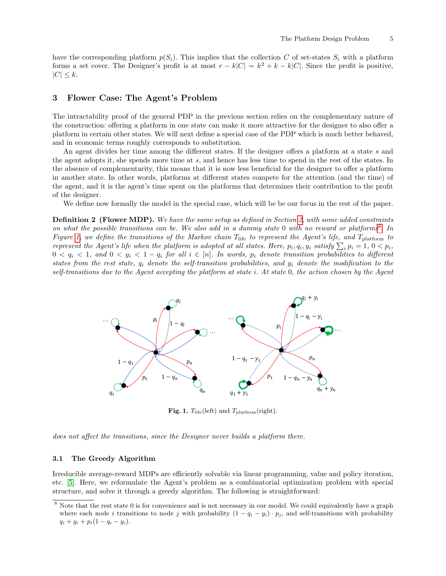have the corresponding platform  $p(S_i)$ . This implies that the collection C of set-states  $S_i$  with a platform forms a set cover. The Designer's profit is at most  $r - k|C| = k^2 + k - k|C|$ . Since the profit is positive,  $|C| \leq k$ .

## <span id="page-4-4"></span>3 Flower Case: The Agent's Problem

The intractability proof of the general PDP in the previous section relies on the complementary nature of the construction: offering a platform in one state can make it more attractive for the designer to also offer a platform in certain other states. We will next define a special case of the PDP which is much better behaved, and in economic terms roughly corresponds to substitution.

An agent divides her time among the different states. If the designer offers a platform at a state s and the agent adopts it, she spends more time at s, and hence has less time to spend in the rest of the states. In the absence of complementarity, this means that it is now less beneficial for the designer to offer a platform in another state. In other words, platforms at different states compete for the attention (and the time) of the agent, and it is the agent's time spent on the platforms that determines their contribution to the profit of the designer.

We define now formally the model in the special case, which will be be our focus in the rest of the paper.

<span id="page-4-3"></span>Definition 2 (Flower MDP). We have the same setup as defined in Section [2,](#page-2-2) with some added constraints on what the possible transitions can be. We also add in a dummy state 0 with no reward or platforms<sup>[8](#page-4-2)</sup>. In Figure [1,](#page-4-0) we define the transitions of the Markov chain  $T_{\text{life}}$  to represent the Agent's life, and  $T_{\text{platform}}$  to represent the Agent's life when the platform is adopted at all states. Here,  $p_i, q_i, y_i$  satisfy  $\sum_i p_i = 1, 0 < p_i$ ,  $0 < q_i < 1$ , and  $0 < y_i < 1 - q_i$  for all  $i \in [n]$ . In words,  $p_i$  denote transition probabilities to different states from the rest state,  $q_i$  denote the self-transition probabilities, and  $y_i$  denote the modification to the self-transitions due to the Agent accepting the platform at state i. At state 0, the action chosen by the Agent



<span id="page-4-0"></span>Fig. 1.  $T_{\text{life}}(\text{left})$  and  $T_{\text{platform}}(\text{right})$ .

does not affect the transitions, since the Designer never builds a platform there.

## 3.1 The Greedy Algorithm

Irreducible average-reward MDPs are efficiently solvable via linear programming, value and policy iteration, etc. [\[5\]](#page-14-7). Here, we reformulate the Agent's problem as a combinatorial optimization problem with special structure, and solve it through a greedy algorithm. The following is straightforward:

<span id="page-4-2"></span><span id="page-4-1"></span><sup>&</sup>lt;sup>8</sup> Note that the rest state 0 is for convenience and is not necessary in our model. We could equivalently have a graph where each node i transitions to node j with probability  $(1 - q_i - y_i) \cdot p_j$ , and self-transitions with probability  $q_i + y_i + p_i(1 - q_i - y_i).$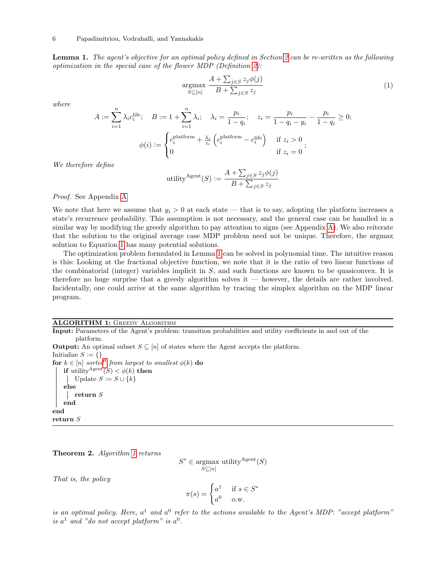Lemma 1. The agent's objective for an optimal policy defined in Section [2](#page-2-2) can be re-written as the following optimization in the special case of the flower MDP (Definition [2\)](#page-4-3):

<span id="page-5-1"></span>
$$
\underset{S \subseteq [n]}{\text{argmax}} \frac{A + \sum_{j \in S} z_j \phi(j)}{B + \sum_{j \in S} z_j} \tag{1}
$$

where

$$
A := \sum_{i=1}^{n} \lambda_i c_i^{\text{life}}; \quad B := 1 + \sum_{i=1}^{n} \lambda_i; \quad \lambda_i = \frac{p_i}{1 - q_i}; \quad z_i = \frac{p_i}{1 - q_i - y_i} - \frac{p_i}{1 - q_i} \ge 0;
$$

$$
\phi(i) := \begin{cases} c_i^{\text{platform}} + \frac{\lambda_i}{z_i} \left( c_i^{\text{platform}} - c_i^{\text{life}} \right) & \text{if } z_i > 0 \\ 0 & \text{if } z_i = 0 \end{cases};
$$

We therefore define

utility<sup>Agent</sup>
$$
(S) := \frac{A + \sum_{j \in S} z_j \phi(j)}{B + \sum_{j \in S} z_j}
$$

Proof. See Appendix [A.](#page-16-0)

We note that here we assume that  $y_i > 0$  at each state — that is to say, adopting the platform increases a state's recurrence probability. This assumption is not necessary, and the general case can be handled in a similar way by modifying the greedy algorithm to pay attention to signs (see Appendix [A\)](#page-16-0). We also reiterate that the solution to the original average case MDP problem need not be unique. Therefore, the argmax solution to Equation [1](#page-5-1) has many potential solutions.

The optimization problem formulated in Lemma [1](#page-4-1) can be solved in polynomial time. The intuitive reason is this: Looking at the fractional objective function, we note that it is the ratio of two linear functions of the combinatorial (integer) variables implicit in  $S$ , and such functions are known to be quasiconvex. It is therefore no huge surprise that a greedy algorithm solves it — however, the details are rather involved. Incidentally, one could arrive at the same algorithm by tracing the simplex algorithm on the MDP linear program.

## ALGORITHM 1: Greedy Algorithm

Input: Parameters of the Agent's problem: transition probabilities and utility coefficients in and out of the platform. **Output:** An optimal subset  $S \subseteq [n]$  of states where the Agent accepts the platform. Initialize  $S := \{\}$ for  $k \in [n]$  sorted<sup>[9](#page-0-0)</sup> from largest to smallest  $\phi(k)$  do if utility<sup>Agent</sup> $(S) < \phi(k)$  then Update  $S := S \cup \{k\}$ else return S end end return  ${\cal S}$ 

#### <span id="page-5-2"></span><span id="page-5-0"></span>Theorem 2. Algorithm [1](#page-5-2) returns

$$
S^* \in \underset{S \subseteq [n]}{\text{argmax}\ \text{utility}}^{\text{Agent}}(S)
$$

That is, the policy

$$
\pi(s) = \begin{cases} a^1 & \text{if } s \in S^* \\ a^0 & \text{o.w.} \end{cases}
$$

is an optimal policy. Here,  $a^1$  and  $a^0$  refer to the actions available to the Agent's MDP: "accept platform" is  $a^1$  and "do not accept platform" is  $a^0$ .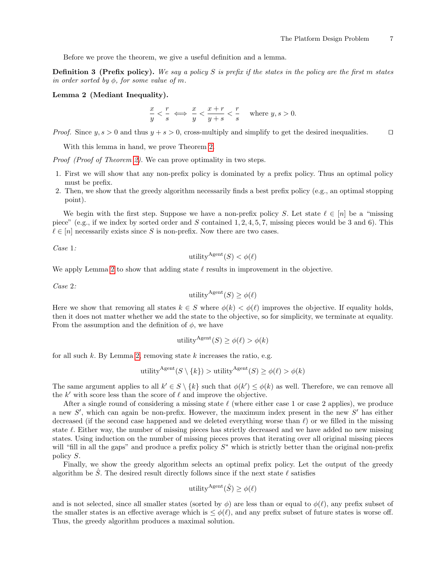Before we prove the theorem, we give a useful definition and a lemma.

**Definition 3 (Prefix policy).** We say a policy S is prefix if the states in the policy are the first m states in order sorted by  $\phi$ , for some value of m.

## <span id="page-6-0"></span>Lemma 2 (Mediant Inequality).

$$
\frac{x}{y} < \frac{r}{s} \iff \frac{x}{y} < \frac{x+r}{y+s} < \frac{r}{s} \quad \text{where } y, s > 0.
$$

*Proof.* Since  $y, s > 0$  and thus  $y + s > 0$ , cross-multiply and simplify to get the desired inequalities.  $\Box$ 

With this lemma in hand, we prove Theorem [2.](#page-5-0)

Proof (Proof of Theorem [2\)](#page-5-0). We can prove optimality in two steps.

- 1. First we will show that any non-prefix policy is dominated by a prefix policy. Thus an optimal policy must be prefix.
- 2. Then, we show that the greedy algorithm necessarily finds a best prefix policy (e.g., an optimal stopping point).

We begin with the first step. Suppose we have a non-prefix policy S. Let state  $\ell \in [n]$  be a "missing" piece" (e.g., if we index by sorted order and S contained 1, 2, 4, 5, 7, missing pieces would be 3 and 6). This  $\ell \in [n]$  necessarily exists since S is non-prefix. Now there are two cases.

Case 1:

utility<sup>Agent</sup>
$$
(S) < \phi(\ell)
$$

We apply Lemma [2](#page-6-0) to show that adding state  $\ell$  results in improvement in the objective.

Case 2:

utility<sup>Agent</sup>
$$
(S) \ge \phi(\ell)
$$

Here we show that removing all states  $k \in S$  where  $\phi(k) < \phi(\ell)$  improves the objective. If equality holds, then it does not matter whether we add the state to the objective, so for simplicity, we terminate at equality. From the assumption and the definition of  $\phi$ , we have

utility<sup>Agent</sup>
$$
(S) \ge \phi(\ell) > \phi(k)
$$

for all such  $k$ . By Lemma [2,](#page-6-0) removing state  $k$  increases the ratio, e.g.

utility<sup>Agent</sup>
$$
(S \setminus \{k\})
$$
 > utility<sup>Agent</sup> $(S) \ge \phi(\ell) > \phi(k)$ 

The same argument applies to all  $k' \in S \setminus \{k\}$  such that  $\phi(k') \leq \phi(k)$  as well. Therefore, we can remove all the  $k'$  with score less than the score of  $\ell$  and improve the objective.

After a single round of considering a missing state  $\ell$  (where either case 1 or case 2 applies), we produce a new  $S'$ , which can again be non-prefix. However, the maximum index present in the new  $S'$  has either decreased (if the second case happened and we deleted everything worse than  $\ell$ ) or we filled in the missing state  $\ell$ . Either way, the number of missing pieces has strictly decreased and we have added no new missing states. Using induction on the number of missing pieces proves that iterating over all original missing pieces will "fill in all the gaps" and produce a prefix policy  $S^*$  which is strictly better than the original non-prefix policy S.

Finally, we show the greedy algorithm selects an optimal prefix policy. Let the output of the greedy algorithm be  $\hat{S}$ . The desired result directly follows since if the next state  $\ell$  satisfies

utility<sup>Agent</sup>
$$
(\hat{S}) \ge \phi(\ell)
$$

and is not selected, since all smaller states (sorted by  $\phi$ ) are less than or equal to  $\phi(\ell)$ , any prefix subset of the smaller states is an effective average which is  $\leq \phi(\ell)$ , and any prefix subset of future states is worse off. Thus, the greedy algorithm produces a maximal solution.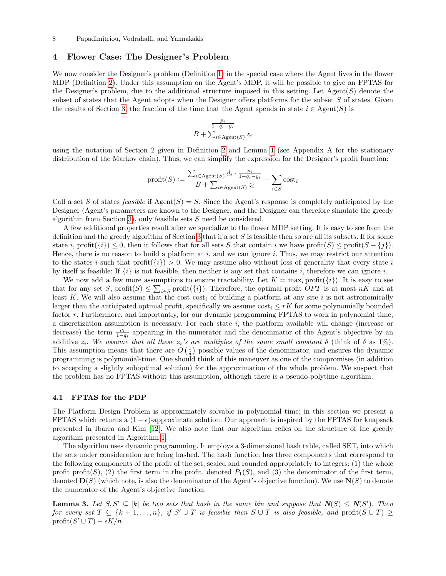## <span id="page-7-0"></span>4 Flower Case: The Designer's Problem

We now consider the Designer's problem (Definition [1\)](#page-2-3) in the special case where the Agent lives in the flower MDP (Definition [2\)](#page-4-3). Under this assumption on the Agent's MDP, it will be possible to give an FPTAS for the Designer's problem, due to the additional structure imposed in this setting. Let  $\Lambda$ gent $(S)$  denote the subset of states that the Agent adopts when the Designer offers platforms for the subset  $S$  of states. Given the results of Section [3,](#page-4-4) the fraction of the time that the Agent spends in state  $i \in \text{Agent}(S)$  is

$$
\frac{\frac{p_i}{1 - q_i - y_i}}{B + \sum_{i \in \text{Agent}(S)} z_i}
$$

using the notation of Section 2 given in Definition [2](#page-4-3) and Lemma [1](#page-4-1) (see Appendix A for the stationary distribution of the Markov chain). Thus, we can simplify the expression for the Designer's profit function:

$$
\text{profit}(S) := \frac{\sum_{i \in \text{Agent}(S)} d_i \cdot \frac{p_i}{1 - q_i - y_i}}{B + \sum_{i \in \text{Agent}(S)} z_i} - \sum_{i \in S} \text{cost}_i
$$

Call a set S of states feasible if  $\text{Agent}(S) = S$ . Since the Agent's response is completely anticipated by the Designer (Agent's parameters are known to the Designer, and the Designer can therefore simulate the greedy algorithm from Section [3\)](#page-4-4), only feasible sets S need be considered.

A few additional properties result after we specialize to the flower MDP setting. It is easy to see from the definition and the greedy algorithm of Section [3](#page-4-4) that if a set  $S$  is feasible then so are all its subsets. If for some state i, profit( $\{i\}$ ) < 0, then it follows that for all sets S that contain i we have profit(S) < profit(S − {j}). Hence, there is no reason to build a platform at  $i$ , and we can ignore  $i$ . Thus, we may restrict our attention to the states i such that  $\text{profit}(\{i\}) > 0$ . We may assume also without loss of generality that every state i by itself is feasible: If  $\{i\}$  is not feasible, then neither is any set that contains i, therefore we can ignore i.

We now add a few more assumptions to ensure tractability. Let  $K = \max_i \text{profit}(\{i\})$ . It is easy to see that for any set S,  $\text{profit}(S) \leq \sum_{i \in S} \text{profit}(\{i\})$ . Therefore, the optimal profit *OPT* is at most nK and at least K. We will also assume that the cost cost, of building a platform at any site i is not astronomically larger than the anticipated optimal profit, specifically we assume  $\cos t_i \leq rK$  for some polynomially bounded factor r. Furthermore, and importantly, for our dynamic programming FPTAS to work in polynomial time, a discretization assumption is necessary. For each state  $i$ , the platform available will change (increase or decrease) the term  $\frac{pi}{1-q_i}$  appearing in the numerator and the denominator of the Agent's objective by an additive  $z_i$ . We assume that all these  $z_i$ 's are multiples of the same small constant  $\delta$  (think of  $\delta$  as 1%). This assumption means that there are  $O\left(\frac{1}{\delta}\right)$  possible values of the denominator, and ensures the dynamic programming is polynomial-time. One should think of this maneuver as one of the compromises (in addition to accepting a slightly suboptimal solution) for the approximation of the whole problem. We suspect that the problem has no FPTAS without this assumption, although there is a pseudo-polytime algorithm.

## 4.1 FPTAS for the PDP

The Platform Design Problem is approximately solvable in polynomial time; in this section we present a FPTAS which returns a  $(1 - \epsilon)$ -approximate solution. Our approach is inspired by the FPTAS for knapsack presented in Ibarra and Kim [\[12\]](#page-14-8). We also note that our algorithm relies on the structure of the greedy algorithm presented in Algorithm [1.](#page-5-2)

The algorithm uses dynamic programming. It employs a 3-dimensional hash table, called SET, into which the sets under consideration are being hashed. The hash function has three components that correspond to the following components of the profit of the set, scaled and rounded appropriately to integers: (1) the whole profit profit(S), (2) the first term in the profit, denoted  $P_1(S)$ , and (3) the denominator of the first term, denoted  $\mathbf{D}(S)$  (which note, is also the denominator of the Agent's objective function). We use  $\mathbf{N}(S)$  to denote the numerator of the Agent's objective function.

<span id="page-7-1"></span>**Lemma 3.** Let  $S, S' \subseteq [k]$  be two sets that hash in the same bin and suppose that  $N(S) \le N(S')$ . Then for every set  $T \subseteq \{k+1,\ldots,n\}$ , if  $S' \cup T$  is feasible then  $S \cup T$  is also feasible, and  $\text{profit}(S \cup T) \geq$  $\text{profit}(S' \cup T) - \epsilon K/n.$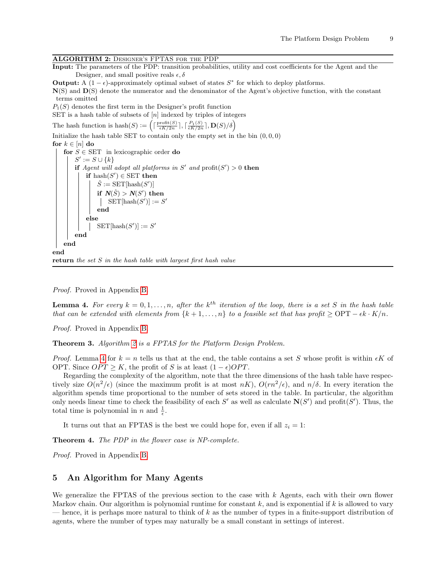## ALGORITHM 2: Designer's FPTAS for the PDP

Input: The parameters of the PDP: transition probabilities, utility and cost coefficients for the Agent and the Designer, and small positive reals  $\epsilon, \delta$ 

Output: A  $(1 - \epsilon)$ -approximately optimal subset of states  $S^*$  for which to deploy platforms.

N(S) and D(S) denote the numerator and the denominator of the Agent's objective function, with the constant terms omitted

 $P_1(S)$  denotes the first term in the Designer's profit function

SET is a hash table of subsets of  $[n]$  indexed by triples of integers

The hash function is  $\text{hash}(S) := \left( \lceil \frac{\text{profit}(S)}{\epsilon K/2n} \rceil, \lceil \frac{P_1(S)}{\epsilon K/2n} \rceil, \mathbf{D}(S)/\delta \right)$ 

Initialize the hash table SET to contain only the empty set in the bin  $(0, 0, 0)$ 

#### for  $k \in [n]$  do

```
for S \in \text{SET} in lexicographic order do
          S' := S \cup \{k\}if Agent will adopt all platforms in S' and \text{profit}(S') > 0 then
               if \text{hash}(S') \in \text{SET} then
                    \hat{S} := \text{SET}[\text{hash}(S')]{\bf if} \,\, N(\hat S) > N(S') \,\,{\bf then}\text{SET}[\text{hash}(S')] := S\primeend
               else
                    \text{SET}[\text{hash}(S')] := S'end
    end
end
return the set S in the hash table with largest first hash value
```
<span id="page-8-2"></span>Proof. Proved in Appendix [B.](#page-18-0)

<span id="page-8-3"></span>**Lemma 4.** For every  $k = 0, 1, ..., n$ , after the  $k^{th}$  iteration of the loop, there is a set S in the hash table that can be extended with elements from  $\{k+1,\ldots,n\}$  to a feasible set that has profit  $\geq$  OPT –  $\epsilon k \cdot K/n$ .

Proof. Proved in Appendix [B.](#page-18-0)

<span id="page-8-1"></span>Theorem 3. Algorithm [2](#page-8-2) is a FPTAS for the Platform Design Problem.

*Proof.* Lemma [4](#page-8-3) for  $k = n$  tells us that at the end, the table contains a set S whose profit is within  $\epsilon K$  of OPT. Since  $OPT \geq K$ , the profit of S is at least  $(1 - \epsilon)OPT$ .

Regarding the complexity of the algorithm, note that the three dimensions of the hash table have respectively size  $O(n^2/\epsilon)$  (since the maximum profit is at most  $nK$ ),  $O(rn^2/\epsilon)$ , and  $n/\delta$ . In every iteration the algorithm spends time proportional to the number of sets stored in the table. In particular, the algorithm only needs linear time to check the feasibility of each S' as well as calculate  $N(S')$  and profit $(S')$ . Thus, the total time is polynomial in *n* and  $\frac{1}{\epsilon}$ .

It turns out that an FPTAS is the best we could hope for, even if all  $z_i = 1$ :

<span id="page-8-0"></span>Theorem 4. The PDP in the flower case is NP-complete.

Proof. Proved in Appendix [B.](#page-18-0)

# <span id="page-8-4"></span>5 An Algorithm for Many Agents

We generalize the FPTAS of the previous section to the case with  $k$  Agents, each with their own flower Markov chain. Our algorithm is polynomial runtime for constant  $k$ , and is exponential if  $k$  is allowed to vary — hence, it is perhaps more natural to think of  $k$  as the number of types in a finite-support distribution of agents, where the number of types may naturally be a small constant in settings of interest.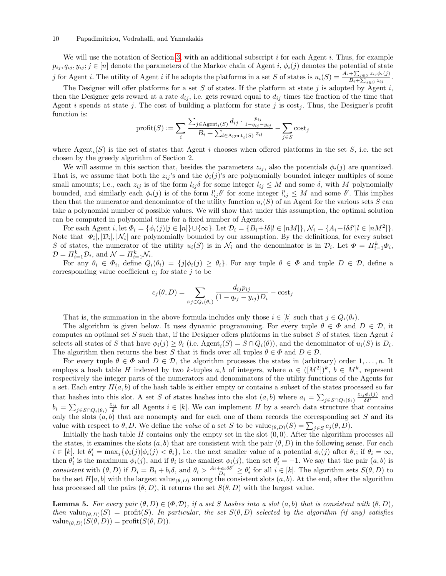#### 10 Papadimitriou, Vodrahalli, and Yannakakis

We will use the notation of Section [3,](#page-4-4) with an additional subscript i for each Agent i. Thus, for example  $p_{ij}, q_{ij}, y_{ij}$ ;  $j \in [n]$  denote the parameters of the Markov chain of Agent i,  $\phi_i(j)$  denotes the potential of state j for Agent i. The utility of Agent i if he adopts the platforms in a set S of states is  $u_i(S) = \frac{A_i + \sum_{j \in S} z_{ij} \phi_i(j)}{B_i + \sum_{j \in S} z_{ij}}$  $\frac{\sum_{j\in S} z_{ij}\varphi_i(j)}{B_i + \sum_{j\in S} z_{ij}}.$ 

The Designer will offer platforms for a set S of states. If the platform at state j is adopted by Agent i, then the Designer gets reward at a rate  $d_{ij}$ , i.e. gets reward equal to  $d_{ij}$  times the fraction of the time that Agent i spends at state j. The cost of building a platform for state j is  $\cos t_i$ . Thus, the Designer's profit function is:

$$
\text{profit}(S) := \sum_{i} \frac{\sum_{j \in \text{Agent}_i(S)} d_{ij} \cdot \frac{p_{ij}}{1 - q_{ij} - y_{ij}}}{B_i + \sum_{l \in \text{Agent}_i(S)} z_{il}} - \sum_{j \in S} \text{cost}_j
$$

where  $\text{Agent}_i(S)$  is the set of states that Agent i chooses when offered platforms in the set S, i.e. the set chosen by the greedy algorithm of Section 2.

We will assume in this section that, besides the parameters  $z_{ij}$ , also the potentials  $\phi_i(j)$  are quantized. That is, we assume that both the  $z_{ij}$ 's and the  $\phi_i(j)$ 's are polynomially bounded integer multiples of some small amounts; i.e., each  $z_{ij}$  is of the form  $l_{ij} \delta$  for some integer  $l_{ij} \leq M$  and some  $\delta$ , with M polynomially bounded, and similarly each  $\phi_i(j)$  is of the form  $l'_{ij} \delta'$  for some integer  $l'_{ij} \leq M$  and some  $\delta'$ . This implies then that the numerator and denominator of the utility function  $u_i(S)$  of an Agent for the various sets S can take a polynomial number of possible values. We will show that under this assumption, the optimal solution can be computed in polynomial time for a fixed number of Agents.

For each Agent i, let  $\Phi_i = {\phi_i(j)}|j \in [n] \cup {\infty}$ . Let  $\mathcal{D}_i = {B_i + l\delta | l \in [nM]}, \mathcal{N}_i = {A_i + l\delta\delta' | l \in [nM^2]}.$ Note that  $|\Phi_i|, |\mathcal{D}_i|, |\mathcal{N}_i|$  are polynomially bounded by our assumption. By the definitions, for every subset S of states, the numerator of the utility  $u_i(S)$  is in  $\mathcal{N}_i$  and the denominator is in  $\mathcal{D}_i$ . Let  $\Phi = \Pi_{i=1}^k \Phi_i$ ,  $\mathcal{D} = \prod_{i=1}^{k} \mathcal{D}_i$ , and  $\mathcal{N} = \prod_{i=1}^{k} \mathcal{N}_i$ .

For any  $\theta_i \in \Phi_i$ , define  $Q_i(\theta_i) = \{j | \phi_i(j) \geq \theta_i\}$ . For any tuple  $\theta \in \Phi$  and tuple  $D \in \mathcal{D}$ , define a corresponding value coefficient  $c_i$  for state j to be

$$
c_j(\theta, D) = \sum_{i:j \in Q_i(\theta_i)} \frac{d_{ij}p_{ij}}{(1 - q_{ij} - y_{ij})D_i} - \text{cost}_j
$$

That is, the summation in the above formula includes only those  $i \in [k]$  such that  $j \in Q_i(\theta_i)$ .

The algorithm is given below. It uses dynamic programming. For every tuple  $\theta \in \Phi$  and  $D \in \mathcal{D}$ , it computes an optimal set  $S$  such that, if the Designer offers platforms in the subset  $S$  of states, then Agent  $i$ selects all states of S that have  $\phi_i(j) \geq \theta_i$  (i.e.  $\text{Agent}_i(S) = S \cap Q_i(\theta)$ ), and the denominator of  $u_i(S)$  is  $D_i$ . The algorithm then returns the best S that it finds over all tuples  $\theta \in \Phi$  and  $D \in \mathcal{D}$ .

For every tuple  $\theta \in \Phi$  and  $D \in \mathcal{D}$ , the algorithm processes the states in (arbitrary) order  $1, \ldots, n$ . It employs a hash table H indexed by two k-tuples a, b of integers, where  $a \in ([M^2])^k$ ,  $b \in M^k$ , represent respectively the integer parts of the numerators and denominators of the utility functions of the Agents for a set. Each entry  $H(a, b)$  of the hash table is either empty or contains a subset of the states processed so far that hashes into this slot. A set S of states hashes into the slot  $(a, b)$  where  $a_i = \sum_{j \in S \cap Q_i(\theta_i)} \frac{z_{ij}\phi_i(j)}{\delta \delta'}$  and  $b_i = \sum_{j \in S \cap Q_i(\theta_i)} \frac{z_{ij}}{\delta}$  for all Agents  $i \in [k]$ . We can implement H by a search data structure that contains only the slots  $(a, b)$  that are nonempty and for each one of them records the corresponding set S and its value with respect to  $\theta$ , D. We define the value of a set S to be value $_{(\theta,D)}(S) = \sum_{j \in S} c_j(\theta, D)$ .

Initially the hash table  $H$  contains only the empty set in the slot  $(0,0)$ . After the algorithm processes all the states, it examines the slots  $(a, b)$  that are consistent with the pair  $(\theta, D)$  in the following sense. For each  $i \in [k]$ , let  $\theta'_i = \max_j {\phi_i(j) | \phi_i(j) < \theta_i}$ , i.e. the next smaller value of a potential  $\phi_i(j)$  after  $\theta_i$ ; if  $\theta_i = \infty$ , then  $\theta'_i$  is the maximum  $\phi_i(j)$ , and if  $\theta_i$  is the smallest  $\phi_i(j)$ , then set  $\theta'_i = -1$ . We say that the pair  $(a, b)$  is consistent with  $(\theta, D)$  if  $D_i = B_i + b_i \delta$ , and  $\theta_i > \frac{A_i + a_i \delta \delta'}{D_i} \geq \theta'_i$  for all  $i \in [k]$ . The algorithm sets  $S(\theta, D)$  to be the set  $H[a, b]$  with the largest value<sub>( $\theta$ ,D)</sub> among the consistent slots  $(a, b)$ . At the end, after the algorithm has processed all the pairs  $(\theta, D)$ , it returns the set  $S(\theta, D)$  with the largest value.

<span id="page-9-0"></span>**Lemma 5.** For every pair  $(\theta, D) \in (\Phi, \mathcal{D})$ , if a set S hashes into a slot  $(a, b)$  that is consistent with  $(\theta, D)$ , then value<sub>(θ,D)</sub>(S) = profit(S). In particular, the set  $S(\theta, D)$  selected by the algorithm (if any) satisfies  $value_{(\theta, D)}(S(\theta, D)) = \text{profit}(S(\theta, D)).$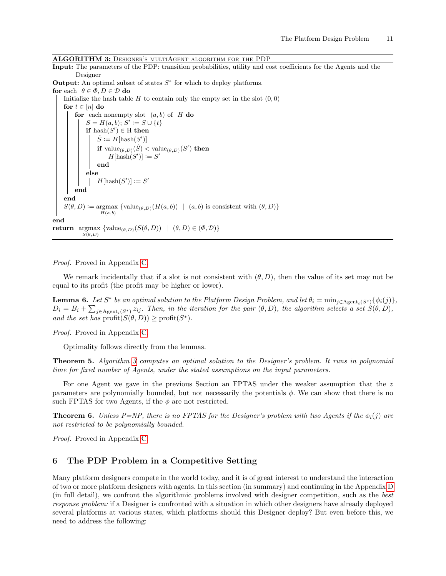ALGORITHM 3: Designer's multiAgent algorithm for the PDP

Input: The parameters of the PDP: transition probabilities, utility and cost coefficients for the Agents and the Designer **Output:** An optimal subset of states  $S^*$  for which to deploy platforms. for each  $\theta \in \Phi, D \in \mathcal{D}$  do Initialize the hash table  $H$  to contain only the empty set in the slot  $(0, 0)$ for  $t \in [n]$  do for each nonempty slot  $(a, b)$  of H do  $S = H(a, b); S' := S \cup \{t\}$ if  $\text{hash}(S') \in H$  then  $\hat{S} := H[\text{hash}(S')]$ if  $\mathrm{value}_{(\theta,D)}(\hat{S}) < \mathrm{value}_{(\theta,D)}(S')$  then  $H[\operatorname{hash}(S')] := S'$ end else  $H[\operatorname{hash}(S')] := S'$ end end  $S(\theta, D) := \text{argmax} \{ \text{value}_{(\theta, D)}(H(a, b)) \mid (a, b) \text{ is consistent with } (\theta, D) \}$  $H(a,b)$ end **return** argmax  $\{\text{value}_{(\theta,D)}(S(\theta, D)) \mid (\theta, D) \in (\Phi, \mathcal{D})\}$  $S(\theta, D)$ 

<span id="page-10-1"></span>Proof. Proved in Appendix [C.](#page-20-0)

We remark incidentally that if a slot is not consistent with  $(\theta, D)$ , then the value of its set may not be equal to its profit (the profit may be higher or lower).

<span id="page-10-3"></span>**Lemma 6.** Let  $S^*$  be an optimal solution to the Platform Design Problem, and let  $\theta_i = \min_{j \in \text{Agent}_i(S^*)} \{\phi_i(j)\},$  $D_i = B_i + \sum_{j \in \text{Agent}_i(S^*)} z_{ij}$ . Then, in the iteration for the pair  $(\theta, D)$ , the algorithm selects a set  $S(\theta, D)$ , and the set has  $\text{profit}(S(\theta, D)) \ge \text{profit}(S^*)$ .

Proof. Proved in Appendix [C.](#page-20-0)

Optimality follows directly from the lemmas.

<span id="page-10-0"></span>**Theorem 5.** Algorithm [3](#page-10-1) computes an optimal solution to the Designer's problem. It runs in polynomial time for fixed number of Agents, under the stated assumptions on the input parameters.

For one Agent we gave in the previous Section an FPTAS under the weaker assumption that the z parameters are polynomially bounded, but not necessarily the potentials  $\phi$ . We can show that there is no such FPTAS for two Agents, if the  $\phi$  are not restricted.

<span id="page-10-2"></span>**Theorem 6.** Unless P=NP, there is no FPTAS for the Designer's problem with two Agents if the  $\phi_i(j)$  are not restricted to be polynomially bounded.

Proof. Proved in Appendix [C.](#page-20-0)

## <span id="page-10-4"></span>6 The PDP Problem in a Competitive Setting

Many platform designers compete in the world today, and it is of great interest to understand the interaction of two or more platform designers with agents. In this section (in summary) and continuing in the Appendix [D](#page-22-0) (in full detail), we confront the algorithmic problems involved with designer competition, such as the best response problem: if a Designer is confronted with a situation in which other designers have already deployed several platforms at various states, which platforms should this Designer deploy? But even before this, we need to address the following: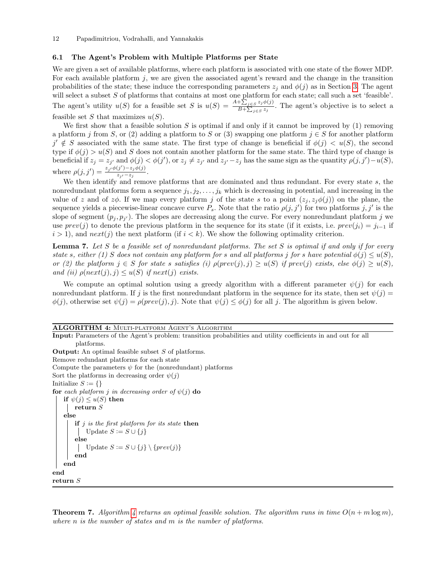#### 6.1 The Agent's Problem with Multiple Platforms per State

We are given a set of available platforms, where each platform is associated with one state of the flower MDP. For each available platform  $j$ , we are given the associated agent's reward and the change in the transition probabilities of the state; these induce the corresponding parameters  $z_j$  and  $\phi(j)$  as in Section [3.](#page-4-4) The agent will select a subset  $S$  of platforms that contains at most one platform for each state; call such a set 'feasible'. The agent's utility  $u(S)$  for a feasible set S is  $u(S) = \frac{A + \sum_{j \in S} z_j \phi(j)}{B + \sum_{j \in S} z_j}$  $\frac{1}{B+\sum_{j\in S}z_j\omega(j)}$ . The agent's objective is to select a feasible set S that maximizes  $u(S)$ .

We first show that a feasible solution  $S$  is optimal if and only if it cannot be improved by (1) removing a platform j from S, or (2) adding a platform to S or (3) swapping one platform  $j \in S$  for another platform  $j' \notin S$  associated with the same state. The first type of change is beneficial if  $\phi(j) < u(S)$ , the second type if  $\phi(j) > u(S)$  and S does not contain another platform for the same state. The third type of change is beneficial if  $z_j = z_{j'}$  and  $\phi(j) < \phi(j')$ , or  $z_j \neq z_{j'}$  and  $z_{j'} - z_j$  has the same sign as the quantity  $\rho(j, j') - u(S)$ , where  $\rho(j, j') = \frac{z_{j'}\phi(j') - z_j\phi(j)}{z_{j'}-z_{j'}}$  $\frac{(j_1 - z_j \varphi(j_1))}{z_{j_1} - z_j}.$ 

We then identify and remove platforms that are dominated and thus redundant. For every state  $s$ , the nonredundant platforms form a sequence  $j_1, j_2, \ldots, j_k$  which is decreasing in potential, and increasing in the value of z and of  $z\phi$ . If we map every platform j of the state s to a point  $(z_j, z_j\phi(j))$  on the plane, the sequence yields a piecewise-linear concave curve  $P_s$ . Note that the ratio  $\rho(j, j')$  for two platforms  $j, j'$  is the slope of segment  $(p_j, p_{j'})$ . The slopes are decreasing along the curve. For every nonredundant platform j we use prev(j) to denote the previous platform in the sequence for its state (if it exists, i.e.  $prev(j_i) = j_{i-1}$  if  $i > 1$ , and next(j) the next platform (if  $i < k$ ). We show the following optimality criterion.

<span id="page-11-2"></span>**Lemma 7.** Let S be a feasible set of nonredundant platforms. The set S is optimal if and only if for every state s, either (1) S does not contain any platform for s and all platforms j for s have potential  $\phi(j) \leq u(S)$ , or (2) the platform  $j \in S$  for state s satisfies (i)  $\rho(\text{prev}(j), j) \ge u(S)$  if  $\text{prev}(j)$  exists, else  $\phi(j) \ge u(S)$ , and (ii)  $\rho(next(j), j) \leq u(S)$  if next(j) exists.

We compute an optimal solution using a greedy algorithm with a different parameter  $\psi(j)$  for each nonredundant platform. If j is the first nonredundant platform in the sequence for its state, then set  $\psi(j)$  $\phi(j)$ , otherwise set  $\psi(j) = \rho(\text{prev}(j), j)$ . Note that  $\psi(j) \leq \phi(j)$  for all j. The algorithm is given below.

| <b>Input:</b> Parameters of the Agent's problem: transition probabilities and utility coefficients in and out for all<br>platforms.<br><b>Output:</b> An optimal feasible subset $S$ of platforms.<br>Remove redundant platforms for each state<br>Compute the parameters $\psi$ for the (nonredundant) platforms<br>Sort the platforms in decreasing order $\psi(j)$<br>Initialize $S := \{\}\$ |
|--------------------------------------------------------------------------------------------------------------------------------------------------------------------------------------------------------------------------------------------------------------------------------------------------------------------------------------------------------------------------------------------------|
|                                                                                                                                                                                                                                                                                                                                                                                                  |
|                                                                                                                                                                                                                                                                                                                                                                                                  |
|                                                                                                                                                                                                                                                                                                                                                                                                  |
|                                                                                                                                                                                                                                                                                                                                                                                                  |
|                                                                                                                                                                                                                                                                                                                                                                                                  |
|                                                                                                                                                                                                                                                                                                                                                                                                  |
|                                                                                                                                                                                                                                                                                                                                                                                                  |
| <b>for</b> each platform j in decreasing order of $\psi(j)$ do                                                                                                                                                                                                                                                                                                                                   |
| if $\psi(j) \leq u(S)$ then                                                                                                                                                                                                                                                                                                                                                                      |
| return $S$                                                                                                                                                                                                                                                                                                                                                                                       |
| else                                                                                                                                                                                                                                                                                                                                                                                             |
| <b>if</b> i is the first platform for its state then                                                                                                                                                                                                                                                                                                                                             |
| Update $S := S \cup \{j\}$                                                                                                                                                                                                                                                                                                                                                                       |
| else                                                                                                                                                                                                                                                                                                                                                                                             |
| Update $S := S \cup \{j\} \setminus \{prev(j)\}\$                                                                                                                                                                                                                                                                                                                                                |
| end                                                                                                                                                                                                                                                                                                                                                                                              |
| end                                                                                                                                                                                                                                                                                                                                                                                              |
| end                                                                                                                                                                                                                                                                                                                                                                                              |
| return $S$                                                                                                                                                                                                                                                                                                                                                                                       |

<span id="page-11-1"></span><span id="page-11-0"></span>**Theorem 7.** Algorithm [4](#page-11-1) returns an optimal feasible solution. The algorithm runs in time  $O(n+m \log m)$ , where n is the number of states and m is the number of platforms.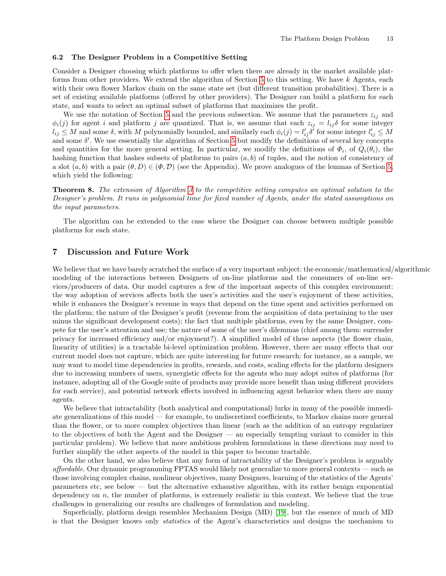#### 6.2 The Designer Problem in a Competitive Setting

Consider a Designer choosing which platforms to offer when there are already in the market available platforms from other providers. We extend the algorithm of Section [5](#page-8-4) to this setting. We have k Agents, each with their own flower Markov chain on the same state set (but different transition probabilities). There is a set of existing available platforms (offered by other providers). The Designer can build a platform for each state, and wants to select an optimal subset of platforms that maximizes the profit.

We use the notation of Section [5](#page-8-4) and the previous subsection. We assume that the parameters  $z_{ij}$  and  $\phi_i(j)$  for agent i and platform j are quantized. That is, we assume that each  $z_{ij} = l_{ij} \delta$  for some integer  $l_{ij} \leq M$  and some  $\delta$ , with M polynomially bounded, and similarly each  $\phi_i(j) = l'_{ij} \delta'$  for some integer  $l'_{ij} \leq M$ and some  $\delta'$ . We use essentially the algorithm of Section [5](#page-8-4) but modify the definitions of several key concepts and quantities for the more general setting. In particular, we modify the definitions of  $\Phi_i$ , of  $Q_i(\theta_i)$ , the hashing function that hashes subsets of platforms to pairs  $(a, b)$  of tuples, and the notion of consistency of a slot  $(a, b)$  with a pair  $(\theta, D) \in (\Phi, \mathcal{D})$  (see the Appendix). We prove analogues of the lemmas of Section [5,](#page-8-4) which yield the following:

<span id="page-12-0"></span>Theorem 8. The extension of Algorithm [3](#page-10-1) to the competitive setting computes an optimal solution to the Designer's problem. It runs in polynomial time for fixed number of Agents, under the stated assumptions on the input parameters.

The algorithm can be extended to the case where the Designer can choose between multiple possible platforms for each state.

## <span id="page-12-1"></span>7 Discussion and Future Work

We believe that we have barely scratched the surface of a very important subject: the economic/mathematical/algorithmic modeling of the interactions between Designers of on-line platforms and the consumers of on-line services/producers of data. Our model captures a few of the important aspects of this complex environment: the way adoption of services affects both the user's activities and the user's enjoyment of these activities, while it enhances the Designer's revenue in ways that depend on the time spent and activities performed on the platform; the nature of the Designer's profit (revenue from the acquisition of data pertaining to the user minus the significant development costs); the fact that multiple platforms, even by the same Designer, compete for the user's attention and use; the nature of some of the user's dilemmas (chief among them: surrender privacy for increased efficiency and/or enjoyment?). A simplified model of these aspects (the flower chain, linearity of utilities) is a tractable bi-level optimization problem. However, there are many effects that our current model does not capture, which are quite interesting for future research: for instance, as a sample, we may want to model time dependencies in profits, rewards, and costs, scaling effects for the platform designers due to increasing numbers of users, synergistic effects for the agents who may adopt suites of platforms (for instance, adopting all of the Google suite of products may provide more benefit than using different providers for each service), and potential network effects involved in influencing agent behavior when there are many agents.

We believe that intractability (both analytical and computational) lurks in many of the possible immediate generalizations of this model — for example, to undiscretized coefficients, to Markov chains more general than the flower, or to more complex objectives than linear (such as the addition of an entropy regularizer to the objectives of both the Agent and the Designer — an especially tempting variant to consider in this particular problem). We believe that more ambitious problem formulations in these directions may need to further simplify the other aspects of the model in this paper to become tractable.

On the other hand, we also believe that any form of intractability of the Designer's problem is arguably affordable. Our dynamic programming FPTAS would likely not generalize to more general contexts — such as those involving complex chains, nonlinear objectives, many Designers, learning of the statistics of the Agents' parameters etc, see below — but the alternative exhaustive algorithm, with its rather benign exponential dependency on n, the number of platforms, is extremely realistic in this context. We believe that the true challenges in generalizing our results are challenges of formulation and modeling.

Superficially, platform design resembles Mechanism Design (MD) [\[19\]](#page-15-7), but the essence of much of MD is that the Designer knows only statistics of the Agent's characteristics and designs the mechanism to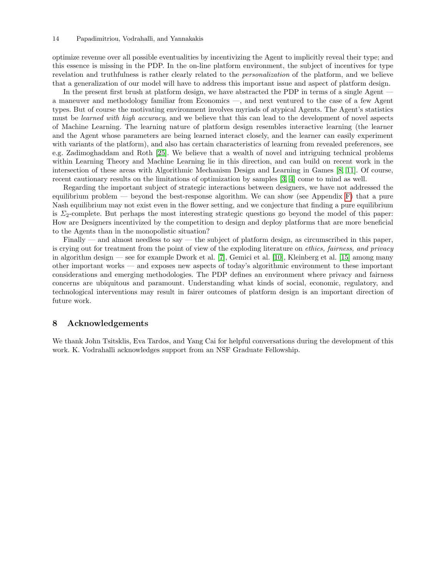optimize revenue over all possible eventualities by incentivizing the Agent to implicitly reveal their type; and this essence is missing in the PDP. In the on-line platform environment, the subject of incentives for type revelation and truthfulness is rather clearly related to the personalization of the platform, and we believe that a generalization of our model will have to address this important issue and aspect of platform design.

In the present first brush at platform design, we have abstracted the PDP in terms of a single Agent a maneuver and methodology familiar from Economics —, and next ventured to the case of a few Agent types. But of course the motivating environment involves myriads of atypical Agents. The Agent's statistics must be *learned with high accuracy*, and we believe that this can lead to the development of novel aspects of Machine Learning. The learning nature of platform design resembles interactive learning (the learner and the Agent whose parameters are being learned interact closely, and the learner can easily experiment with variants of the platform), and also has certain characteristics of learning from revealed preferences, see e.g. Zadimoghaddam and Roth [\[25\]](#page-15-8). We believe that a wealth of novel and intriguing technical problems within Learning Theory and Machine Learning lie in this direction, and can build on recent work in the intersection of these areas with Algorithmic Mechanism Design and Learning in Games [\[8,](#page-14-9) [11\]](#page-14-10). Of course, recent cautionary results on the limitations of optimization by samples [\[3,](#page-14-11) [4\]](#page-14-12) come to mind as well.

Regarding the important subject of strategic interactions between designers, we have not addressed the equilibrium problem — beyond the best-response algorithm. We can show (see Appendix  $F$ ) that a pure Nash equilibrium may not exist even in the flower setting, and we conjecture that finding a pure equilibrium is  $\Sigma_2$ -complete. But perhaps the most interesting strategic questions go beyond the model of this paper: How are Designers incentivized by the competition to design and deploy platforms that are more beneficial to the Agents than in the monopolistic situation?

Finally — and almost needless to say — the subject of platform design, as circumscribed in this paper, is crying out for treatment from the point of view of the exploding literature on ethics, fairness, and privacy in algorithm design — see for example Dwork et al. [\[7\]](#page-14-13), Gemici et al. [\[10\]](#page-14-14), Kleinberg et al. [\[15\]](#page-14-15) among many other important works — and exposes new aspects of today's algorithmic environment to these important considerations and emerging methodologies. The PDP defines an environment where privacy and fairness concerns are ubiquitous and paramount. Understanding what kinds of social, economic, regulatory, and technological interventions may result in fairer outcomes of platform design is an important direction of future work.

## 8 Acknowledgements

We thank John Tsitsklis, Eva Tardos, and Yang Cai for helpful conversations during the development of this work. K. Vodrahalli acknowledges support from an NSF Graduate Fellowship.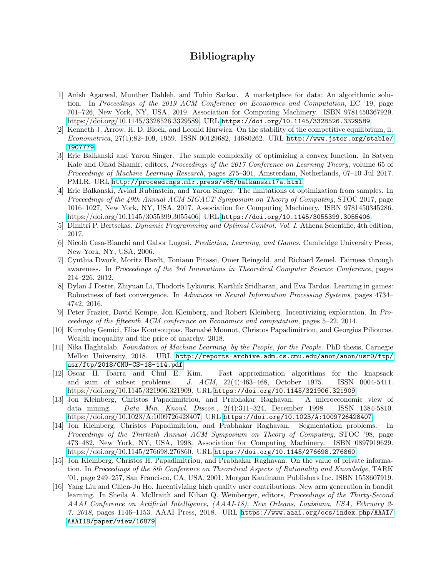# Bibliography

- <span id="page-14-6"></span>[1] Anish Agarwal, Munther Dahleh, and Tuhin Sarkar. A marketplace for data: An algorithmic solution. In Proceedings of the 2019 ACM Conference on Economics and Computation, EC '19, page 701–726, New York, NY, USA, 2019. Association for Computing Machinery. ISBN 9781450367929. [https://doi.org/10.1145/3328526.3329589.](https://doi.org/10.1145/3328526.3329589) URL <https://doi.org/10.1145/3328526.3329589>.
- <span id="page-14-0"></span>[2] Kenneth J. Arrow, H. D. Block, and Leonid Hurwicz. On the stability of the competitive equilibrium, ii. Econometrica, 27(1):82–109, 1959. ISSN 00129682, 14680262. URL [http://www.jstor.org/stable/](http://www.jstor.org/stable/1907779) [1907779](http://www.jstor.org/stable/1907779).
- <span id="page-14-11"></span>[3] Eric Balkanski and Yaron Singer. The sample complexity of optimizing a convex function. In Satyen Kale and Ohad Shamir, editors, *Proceedings of the 2017 Conference on Learning Theory*, volume 65 of Proceedings of Machine Learning Research, pages 275–301, Amsterdam, Netherlands, 07–10 Jul 2017. PMLR. URL <http://proceedings.mlr.press/v65/balkanski17a.html>.
- <span id="page-14-12"></span>[4] Eric Balkanski, Aviad Rubinstein, and Yaron Singer. The limitations of optimization from samples. In Proceedings of the 49th Annual ACM SIGACT Symposium on Theory of Computing, STOC 2017, page 1016–1027, New York, NY, USA, 2017. Association for Computing Machinery. ISBN 9781450345286. [https://doi.org/10.1145/3055399.3055406.](https://doi.org/10.1145/3055399.3055406) URL <https://doi.org/10.1145/3055399.3055406>.
- <span id="page-14-7"></span>[5] Dimitri P. Bertsekas. Dynamic Programming and Optimal Control, Vol. I. Athena Scientific, 4th edition, 2017.
- <span id="page-14-3"></span>[6] Nicolò Cesa-Bianchi and Gabor Lugosi. Prediction, Learning, and Games. Cambridge University Press, New York, NY, USA, 2006.
- <span id="page-14-13"></span>[7] Cynthia Dwork, Moritz Hardt, Toniann Pitassi, Omer Reingold, and Richard Zemel. Fairness through awareness. In Proceedings of the 3rd Innovations in Theoretical Computer Science Conference, pages 214–226, 2012.
- <span id="page-14-9"></span>[8] Dylan J Foster, Zhiyuan Li, Thodoris Lykouris, Karthik Sridharan, and Eva Tardos. Learning in games: Robustness of fast convergence. In Advances in Neural Information Processing Systems, pages 4734– 4742, 2016.
- <span id="page-14-4"></span>[9] Peter Frazier, David Kempe, Jon Kleinberg, and Robert Kleinberg. Incentivizing exploration. In Proceedings of the fifteenth ACM conference on Economics and computation, pages 5–22, 2014.
- <span id="page-14-14"></span>[10] Kurtulu¸s Gemici, Elias Koutsoupias, Barnab´e Monnot, Christos Papadimitriou, and Georgios Piliouras. Wealth inequality and the price of anarchy. 2018.
- <span id="page-14-10"></span>[11] Nika Haghtalab. Foundation of Machine Learning, by the People, for the People. PhD thesis, Carnegie Mellon University, 2018. URL [http://reports-archive.adm.cs.cmu.edu/anon/anon/usr0/ftp/](http://reports-archive.adm.cs.cmu.edu/anon/anon/usr0/ftp/usr/ftp/2018/CMU-CS-18-114.pdf) [usr/ftp/2018/CMU-CS-18-114.pdf](http://reports-archive.adm.cs.cmu.edu/anon/anon/usr0/ftp/usr/ftp/2018/CMU-CS-18-114.pdf).
- <span id="page-14-8"></span>[12] Oscar H. Ibarra and Chul E. Kim. Fast approximation algorithms for the knapsack and sum of subset problems. J. ACM, 22(4):463–468, October 1975. ISSN 0004-5411. [https://doi.org/10.1145/321906.321909.](https://doi.org/10.1145/321906.321909) URL <https://doi.org/10.1145/321906.321909>.
- <span id="page-14-1"></span>[13] Jon Kleinberg, Christos Papadimitriou, and Prabhakar Raghavan. A microeconomic view of data mining. Data Min. Knowl. Discov., 2(4):311–324, December 1998. ISSN 1384-5810. [https://doi.org/10.1023/A:1009726428407.](https://doi.org/10.1023/A:1009726428407) URL <https://doi.org/10.1023/A:1009726428407>.
- <span id="page-14-2"></span>[14] Jon Kleinberg, Christos Papadimitriou, and Prabhakar Raghavan. Segmentation problems. In Proceedings of the Thirtieth Annual ACM Symposium on Theory of Computing, STOC '98, page 473–482, New York, NY, USA, 1998. Association for Computing Machinery. ISBN 0897919629. [https://doi.org/10.1145/276698.276860.](https://doi.org/10.1145/276698.276860) URL <https://doi.org/10.1145/276698.276860>.
- <span id="page-14-15"></span>[15] Jon Kleinberg, Christos H. Papadimitriou, and Prabhakar Raghavan. On the value of private information. In Proceedings of the 8th Conference on Theoretical Aspects of Rationality and Knowledge, TARK '01, page 249–257, San Francisco, CA, USA, 2001. Morgan Kaufmann Publishers Inc. ISBN 1558607919.
- <span id="page-14-5"></span>[16] Yang Liu and Chien-Ju Ho. Incentivizing high quality user contributions: New arm generation in bandit learning. In Sheila A. McIlraith and Kilian Q. Weinberger, editors, Proceedings of the Thirty-Second AAAI Conference on Artificial Intelligence, (AAAI-18), New Orleans, Louisiana, USA, February 2- 7, 2018, pages 1146–1153. AAAI Press, 2018. URL [https://www.aaai.org/ocs/index.php/AAAI/](https://www.aaai.org/ocs/index.php/AAAI/AAAI18/paper/view/16879) [AAAI18/paper/view/16879](https://www.aaai.org/ocs/index.php/AAAI/AAAI18/paper/view/16879).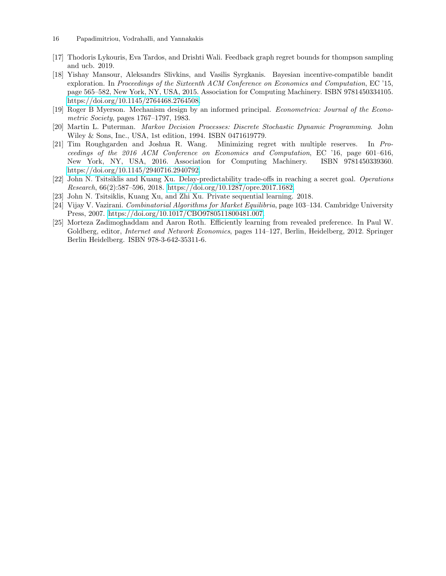- <span id="page-15-1"></span>[17] Thodoris Lykouris, Eva Tardos, and Drishti Wali. Feedback graph regret bounds for thompson sampling and ucb. 2019.
- <span id="page-15-2"></span>[18] Yishay Mansour, Aleksandrs Slivkins, and Vasilis Syrgkanis. Bayesian incentive-compatible bandit exploration. In Proceedings of the Sixteenth ACM Conference on Economics and Computation, EC '15, page 565–582, New York, NY, USA, 2015. Association for Computing Machinery. ISBN 9781450334105. [https://doi.org/10.1145/2764468.2764508.](https://doi.org/10.1145/2764468.2764508)
- <span id="page-15-7"></span>[19] Roger B Myerson. Mechanism design by an informed principal. Econometrica: Journal of the Econometric Society, pages 1767–1797, 1983.
- <span id="page-15-6"></span>[20] Martin L. Puterman. Markov Decision Processes: Discrete Stochastic Dynamic Programming. John Wiley & Sons, Inc., USA, 1st edition, 1994. ISBN 0471619779.
- <span id="page-15-3"></span>[21] Tim Roughgarden and Joshua R. Wang. Minimizing regret with multiple reserves. In Proceedings of the 2016 ACM Conference on Economics and Computation, EC '16, page 601–616, New York, NY, USA, 2016. Association for Computing Machinery. ISBN 9781450339360. [https://doi.org/10.1145/2940716.2940792.](https://doi.org/10.1145/2940716.2940792)
- <span id="page-15-4"></span>[22] John N. Tsitsiklis and Kuang Xu. Delay-predictability trade-offs in reaching a secret goal. Operations Research, 66(2):587–596, 2018. [https://doi.org/10.1287/opre.2017.1682.](https://doi.org/10.1287/opre.2017.1682)
- <span id="page-15-5"></span>[23] John N. Tsitsiklis, Kuang Xu, and Zhi Xu. Private sequential learning. 2018.
- <span id="page-15-0"></span>[24] Vijay V. Vazirani. Combinatorial Algorithms for Market Equilibria, page 103–134. Cambridge University Press, 2007. [https://doi.org/10.1017/CBO9780511800481.007.](https://doi.org/10.1017/CBO9780511800481.007)
- <span id="page-15-8"></span>[25] Morteza Zadimoghaddam and Aaron Roth. Efficiently learning from revealed preference. In Paul W. Goldberg, editor, Internet and Network Economics, pages 114–127, Berlin, Heidelberg, 2012. Springer Berlin Heidelberg. ISBN 978-3-642-35311-6.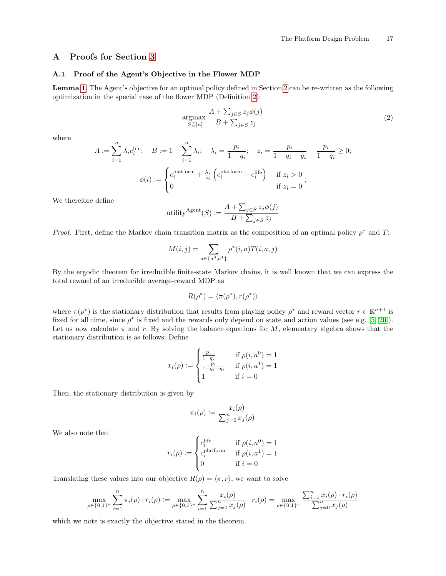# <span id="page-16-0"></span>A Proofs for Section [3](#page-4-4)

## A.1 Proof of the Agent's Objective in the Flower MDP

Lemma [1](#page-4-1). The Agent's objective for an optimal policy defined in Section [2](#page-2-2) can be re-written as the following optimization in the special case of the flower MDP (Definition [2\)](#page-4-3):

$$
\underset{S \subseteq [n]}{\text{argmax}} \frac{A + \sum_{j \in S} z_j \phi(j)}{B + \sum_{j \in S} z_j} \tag{2}
$$

where

$$
A := \sum_{i=1}^{n} \lambda_i c_i^{\text{life}}; \quad B := 1 + \sum_{i=1}^{n} \lambda_i; \quad \lambda_i = \frac{p_i}{1 - q_i}; \quad z_i = \frac{p_i}{1 - q_i - y_i} - \frac{p_i}{1 - q_i} \ge 0;
$$

$$
\phi(i) := \begin{cases} c_i^{\text{platform}} + \frac{\lambda_i}{z_i} \left( c_i^{\text{platform}} - c_i^{\text{life}} \right) & \text{if } z_i > 0 \\ 0 & \text{if } z_i = 0 \end{cases};
$$

We therefore define

utility<sup>Agent</sup>
$$
(S) := \frac{A + \sum_{j \in S} z_j \phi(j)}{B + \sum_{j \in S} z_j}
$$

Proof. First, define the Markov chain transition matrix as the composition of an optimal policy  $\rho^*$  and T:

$$
M(i,j) = \sum_{a \in \{a^0, a^1\}} \rho^*(i, a) T(i, a, j)
$$

By the ergodic theorem for irreducible finite-state Markov chains, it is well known that we can express the total reward of an irreducible average-reward MDP as

$$
R(\rho^*) = \langle \pi(\rho^*), r(\rho^*) \rangle
$$

where  $\pi(\rho^*)$  is the stationary distribution that results from playing policy  $\rho^*$  and reward vector  $r \in \mathbb{R}^{n+1}$  is fixed for all time, since  $\rho^*$  is fixed and the rewards only depend on state and action values (see e.g. [\[5,](#page-14-7) [20\]](#page-15-6)). Let us now calculate  $\pi$  and r. By solving the balance equations for M, elementary algebra shows that the stationary distribution is as follows: Define

$$
x_i(\rho) := \begin{cases} \frac{p_i}{1 - q_i} & \text{if } \rho(i, a^0) = 1\\ \frac{p_i}{1 - q_i - y_i} & \text{if } \rho(i, a^1) = 1\\ 1 & \text{if } i = 0 \end{cases}
$$

Then, the stationary distribution is given by

$$
\pi_i(\rho) := \frac{x_i(\rho)}{\sum_{j=0}^n x_j(\rho)}
$$

We also note that

$$
r_i(\rho) := \begin{cases} c_i^{\text{life}} & \text{if } \rho(i, a^0) = 1 \\ c_i^{\text{platform}} & \text{if } \rho(i, a^1) = 1 \\ 0 & \text{if } i = 0 \end{cases}
$$

Translating these values into our objective  $R(\rho) = \langle \pi, r \rangle$ , we want to solve

$$
\max_{\rho \in \{0,1\}^n} \sum_{i=1}^n \pi_i(\rho) \cdot r_i(\rho) := \max_{\rho \in \{0,1\}^n} \sum_{i=1}^n \frac{x_i(\rho)}{\sum_{j=0}^n x_j(\rho)} \cdot r_i(\rho) = \max_{\rho \in \{0,1\}^n} \frac{\sum_{i=1}^n x_i(\rho) \cdot r_i(\rho)}{\sum_{j=0}^n x_j(\rho)}
$$

which we note is exactly the objective stated in the theorem.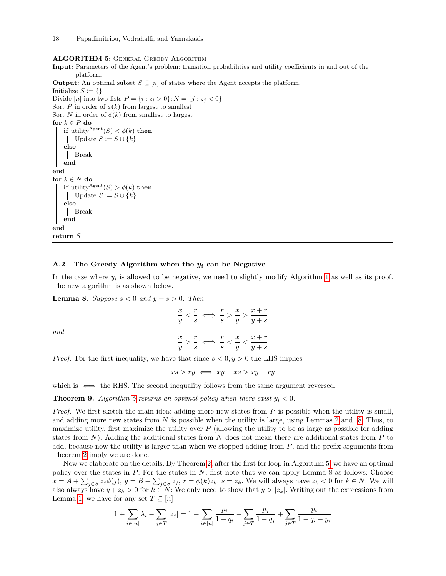#### ALGORITHM 5: General Greedy Algorithm

Input: Parameters of the Agent's problem: transition probabilities and utility coefficients in and out of the platform. **Output:** An optimal subset  $S \subseteq [n]$  of states where the Agent accepts the platform. Initialize  $S := \{\}$ Divide [n] into two lists  $P = \{i : z_i > 0\}$ ;  $N = \{j : z_j < 0\}$ Sort P in order of  $\phi(k)$  from largest to smallest Sort N in order of  $\phi(k)$  from smallest to largest for  $k \in P$  do if utility<sup>Agent</sup> $(S) < \phi(k)$  then Update  $S := S \cup \{k\}$ else Break end end for  $k \in N$  do if utility<sup>Agent</sup> $(S) > \phi(k)$  then Update  $S := S \cup \{k\}$ else Break end end return S

#### <span id="page-17-0"></span>A.2 The Greedy Algorithm when the  $y_i$  can be Negative

In the case where  $y_i$  is allowed to be negative, we need to slightly modify Algorithm [1](#page-5-2) as well as its proof. The new algorithm is as shown below.

<span id="page-17-1"></span>**Lemma 8.** Suppose  $s < 0$  and  $y + s > 0$ . Then

$$
\frac{x}{y} < \frac{r}{s} \iff \frac{r}{s} > \frac{x}{y} > \frac{x+r}{y+s}
$$
\n
$$
\frac{x}{y} > \frac{r}{s} \iff \frac{r}{s} < \frac{x}{y} < \frac{x+r}{y+s}
$$

 $\boldsymbol{y}$ 

and

*Proof.* For the first inequality, we have that since 
$$
s < 0, y > 0
$$
 the LHS implies

$$
xs > ry \iff xy + xs > xy + ry
$$

which is  $\iff$  the RHS. The second inequality follows from the same argument reversed.

**Theorem 9.** Algorithm [5](#page-17-0) returns an optimal policy when there exist  $y_i < 0$ .

*Proof.* We first sketch the main idea: adding more new states from  $P$  is possible when the utility is small, and adding more new states from N is possible when the utility is large, using Lemmas [2](#page-6-0) and [8.](#page-17-1) Thus, to maximize utility, first maximize the utility over  $P$  (allowing the utility to be as large as possible for adding states from N). Adding the additional states from N does not mean there are additional states from P to add, because now the utility is larger than when we stopped adding from  $P$ , and the prefix arguments from Theorem [2](#page-5-0) imply we are done.

Now we elaborate on the details. By Theorem [2,](#page-5-0) after the first for loop in Algorithm [5,](#page-17-0) we have an optimal policy over the states in  $P$ . For the states in  $N$ , first note that we can apply Lemma [8](#page-17-1) as follows: Choose  $x = A + \sum_{j \in S} z_j \phi(j), y = B + \sum_{j \in S} z_j, r = \phi(k)z_k, s = z_k$ . We will always have  $z_k < 0$  for  $k \in N$ . We will also always have  $y + z_k > 0$  for  $k \in N$ : We only need to show that  $y > |z_k|$ . Writing out the expressions from Lemma [1,](#page-4-1) we have for any set  $T \subseteq [n]$ 

$$
1 + \sum_{i \in [n]} \lambda_i - \sum_{j \in T} |z_j| = 1 + \sum_{i \in [n]} \frac{p_i}{1 - q_i} - \sum_{j \in T} \frac{p_j}{1 - q_j} + \sum_{j \in T} \frac{p_i}{1 - q_i - y_i}
$$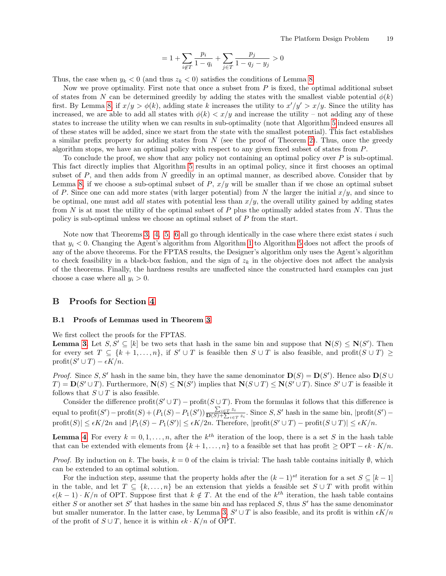$$
= 1 + \sum_{i \notin T} \frac{p_i}{1 - q_i} + \sum_{j \in T} \frac{p_j}{1 - q_j - y_j} > 0
$$

Thus, the case when  $y_k < 0$  (and thus  $z_k < 0$ ) satisfies the conditions of Lemma [8.](#page-17-1)

Now we prove optimality. First note that once a subset from  $P$  is fixed, the optimal additional subset of states from N can be determined greedily by adding the states with the smallest viable potential  $\phi(k)$ first. By Lemma [8,](#page-17-1) if  $x/y > \phi(k)$ , adding state k increases the utility to  $x'/y' > x/y$ . Since the utility has increased, we are able to add all states with  $\phi(k) < x/y$  and increase the utility – not adding any of these states to increase the utility when we can results in sub-optimality (note that Algorithm [5](#page-17-0) indeed ensures all of these states will be added, since we start from the state with the smallest potential). This fact establishes a similar prefix property for adding states from  $N$  (see the proof of Theorem [2\)](#page-5-0). Thus, once the greedy algorithm stops, we have an optimal policy with respect to any given fixed subset of states from P.

To conclude the proof, we show that any policy not containing an optimal policy over  $P$  is sub-optimal. This fact directly implies that Algorithm [5](#page-17-0) results in an optimal policy, since it first chooses an optimal subset of  $P$ , and then adds from  $N$  greedily in an optimal manner, as described above. Consider that by Lemma [8,](#page-17-1) if we choose a sub-optimal subset of  $P$ ,  $x/y$  will be smaller than if we chose an optimal subset of P. Since one can add more states (with larger potential) from N the larger the initial  $x/y$ , and since to be optimal, one must add *all* states with potential less than  $x/y$ , the overall utility gained by adding states from N is at most the utility of the optimal subset of P plus the optimally added states from N. Thus the policy is sub-optimal unless we choose an optimal subset of P from the start.

Note now that Theorems [3,](#page-8-1) [4,](#page-8-0) [5,](#page-10-0) [6](#page-10-2) all go through identically in the case where there exist states  $i$  such that  $y_i < 0$ . Changing the Agent's algorithm from Algorithm [1](#page-5-2) to Algorithm [5](#page-17-0) does not affect the proofs of any of the above theorems. For the FPTAS results, the Designer's algorithm only uses the Agent's algorithm to check feasibility in a black-box fashion, and the sign of  $z_k$  in the objective does not affect the analysis of the theorems. Finally, the hardness results are unaffected since the constructed hard examples can just choose a case where all  $y_i > 0$ .

## <span id="page-18-0"></span>B Proofs for Section [4](#page-7-0)

#### B.1 Proofs of Lemmas used in Theorem [3](#page-8-1)

### We first collect the proofs for the FPTAS.

**Lemma [3](#page-7-1).** Let  $S, S' \subseteq [k]$  be two sets that hash in the same bin and suppose that  $N(S) \le N(S')$ . Then for every set  $T \subseteq \{k+1,\ldots,n\}$ , if  $S' \cup T$  is feasible then  $S \cup T$  is also feasible, and profit $(S \cup T) \ge$  $\text{profit}(S' \cup T) - \epsilon K/n.$ 

*Proof.* Since S, S' hash in the same bin, they have the same denominator  $D(S) = D(S')$ . Hence also  $D(S \cup$  $T) = \mathbf{D}(S' \cup T)$ . Furthermore,  $\mathbf{N}(S) \leq \mathbf{N}(S')$  implies that  $\mathbf{N}(S \cup T) \leq \mathbf{N}(S' \cup T)$ . Since  $S' \cup T$  is feasible it follows that  $S \cup T$  is also feasible.

Consider the difference  $\text{profit}(S' \cup T) - \text{profit}(S \cup T)$ . From the formulas it follows that this difference is equal to profit(S') – profit(S) +  $(P_1(S) - P_1(S')) \frac{\sum_{i \in T} z_i}{D(S) + \sum_{i \in T} z_i}$  $\frac{\sum_{i\in T} z_i}{\mathbf{D}(S) + \sum_{i\in T} z_i}$ . Since S, S' hash in the same bin,  $|profit(S') \text{profit}(S) \le \epsilon K/2n \text{ and } |P_1(S) - P_1(S')| \le \epsilon K/2n.$  Therefore,  $|\text{profit}(S' \cup T) - \text{profit}(S \cup T)| \le \epsilon K/n.$ 

**Lemma [4](#page-8-3).** For every  $k = 0, 1, ..., n$ , after the  $k^{th}$  iteration of the loop, there is a set S in the hash table that can be extended with elements from  $\{k+1,\ldots,n\}$  to a feasible set that has profit  $\geq$  OPT –  $\epsilon k \cdot K/n$ .

*Proof.* By induction on k. The basis,  $k = 0$  of the claim is trivial: The hash table contains initially  $\emptyset$ , which can be extended to an optimal solution.

For the induction step, assume that the property holds after the  $(k-1)^{st}$  iteration for a set  $S \subseteq [k-1]$ in the table, and let  $T \subseteq \{k, \ldots, n\}$  be an extension that yields a feasible set  $S \cup T$  with profit within  $\epsilon(k-1) \cdot K/n$  of OPT. Suppose first that  $k \notin T$ . At the end of the  $k^{th}$  iteration, the hash table contains either S or another set S' that hashes in the same bin and has replaced S, thus S' has the same denominator but smaller numerator. In the latter case, by Lemma [3,](#page-7-1)  $S' \cup T$  is also feasible, and its profit is within  $\epsilon K/n$ of the profit of  $S \cup T$ , hence it is within  $\epsilon k \cdot K/n$  of OPT.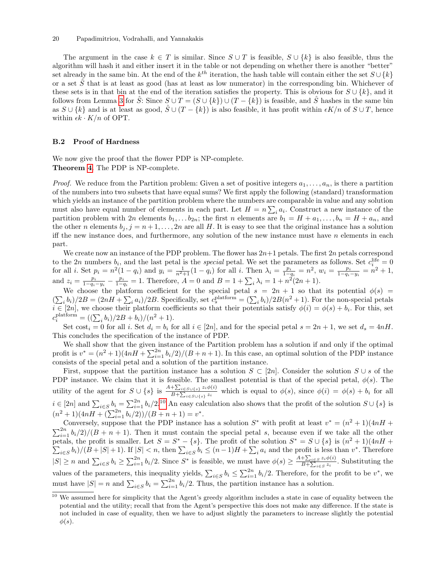The argument in the case  $k \in T$  is similar. Since  $S \cup T$  is feasible,  $S \cup \{k\}$  is also feasible, thus the algorithm will hash it and either insert it in the table or not depending on whether there is another "better" set already in the same bin. At the end of the  $k^{th}$  iteration, the hash table will contain either the set  $S \cup \{k\}$ or a set  $\hat{S}$  that is at least as good (has at least as low numerator) in the corresponding bin. Whichever of these sets is in that bin at the end of the iteration satisfies the property. This is obvious for  $S \cup \{k\}$ , and it follows from Lemma [3](#page-7-1) for  $\hat{S}$ : Since  $S \cup T = (S \cup \{k\}) \cup (T - \{k\})$  is feasible, and  $\hat{S}$  hashes in the same bin as  $S \cup \{k\}$  and is at least as good,  $S \cup (T - \{k\})$  is also feasible, it has profit within  $\epsilon K/n$  of  $S \cup T$ , hence within  $\epsilon k \cdot K/n$  of OPT.

## B.2 Proof of Hardness

We now give the proof that the flower PDP is NP-complete. Theorem [4](#page-8-0). The PDP is NP-complete.

*Proof.* We reduce from the Partition problem: Given a set of positive integers  $a_1, \ldots, a_n$ , is there a partition of the numbers into two subsets that have equal sums? We first apply the following (standard) transformation which yields an instance of the partition problem where the numbers are comparable in value and any solution must also have equal number of elements in each part. Let  $H = n \sum_i a_i$ . Construct a new instance of the partition problem with 2n elements  $b_1, \ldots b_{2n}$ ; the first n elements are  $b_1 = H + a_1, \ldots, b_n = H + a_n$ , and the other n elements  $b_j$ ,  $j = n+1, \ldots, 2n$  are all H. It is easy to see that the original instance has a solution iff the new instance does, and furthermore, any solution of the new instance must have  $n$  elements in each part.

We create now an instance of the PDP problem. The flower has  $2n+1$  petals. The first  $2n$  petals correspond to the 2n numbers  $b_i$ , and the last petal is the special petal. We set the parameters as follows. Set  $c_i^{\text{life}} = 0$ for all *i*. Set  $p_i = n^2(1 - q_i)$  and  $y_i = \frac{1}{n^2+1}(1 - q_i)$  for all *i*. Then  $\lambda_i = \frac{p_i}{1 - q_i} = n^2$ ,  $w_i = \frac{p_i}{1 - q_i - y_i} = n^2 + 1$ , and  $z_i = \frac{p_i}{1-q_i-y_i} - \frac{p_i}{1-q_i} = 1$ . Therefore,  $A = 0$  and  $B = 1 + \sum_i \lambda_i = 1 + n^2(2n + 1)$ .

We choose the platform coefficient for the special petal  $s = 2n + 1$  so that its potential  $\phi(s)$  $(\sum_i b_i)/2B = (2nH + \sum_i a_i)/2B$ . Specifically, set  $c_s^{\text{platform}} = (\sum_i b_i)/2B(n^2 + 1)$ . For the non-special petals  $i \in [2n]$ , we choose their platform coefficients so that their potentials satisfy  $\phi(i) = \phi(s) + b_i$ . For this, set  $c_i^{\text{platform}} = ((\sum_i b_i)/2B + b_i)/(n^2 + 1).$ 

Set  $\text{cost}_i = 0$  for all i. Set  $d_i = b_i$  for all  $i \in [2n]$ , and for the special petal  $s = 2n + 1$ , we set  $d_s = 4nH$ . This concludes the specification of the instance of PDP.

We shall show that the given instance of the Partition problem has a solution if and only if the optimal profit is  $v^* = (n^2 + 1)(4nH + \sum_{i=1}^{2n} b_i/2)/(B + n + 1)$ . In this case, an optimal solution of the PDP instance consists of the special petal and a solution of the partition instance.

First, suppose that the partition instance has a solution  $S \subset [2n]$ . Consider the solution  $S \cup s$  of the PDP instance. We claim that it is feasible. The smallest potential is that of the special petal,  $\phi(s)$ . The utility of the agent for  $S \cup \{s\}$  is  $\frac{A + \sum_{i \in S \cup \{s\}} z_i \phi(i)}{B + \sum_{i \in S \cup \{s\}} z_i}$  $\frac{1}{B+\sum_{i\in S\cup\{s\}}z_i\varphi(s)}$  which is equal to  $\phi(s)$ , since  $\phi(i) = \phi(s) + b_i$  for all  $i \in [2n]$  and  $\sum_{i \in S} b_i = \sum_{i=1}^{2n} b_i/2$ .<sup>[10](#page-19-0)</sup> An easy calculation also shows that the profit of the solution  $S \cup \{s\}$  is  $(n^2+1)(4nH + (\sum_{i=1}^{2n} b_i/2))/(B+n+1) = v^*.$ 

Conversely, suppose that the PDP instance has a solution  $S^*$  with profit at least  $v^* = (n^2 + 1)(4nH +$  $\sum_{i=1}^{2n} b_i/2$ / $(B + n + 1)$ . Then it must contain the special petal s, because even if we take all the other petals, the profit is smaller. Let  $S = S^* - \{s\}$ . The profit of the solution  $S^* = S \cup \{s\}$  is  $(n \geq 1)$  $\sum$  $^{2}+1)(4nH +$  $\sum_{i\in S} b_i$  /(B + |S| + 1). If |S| < n, then  $\sum_{i\in S} b_i \leq (n-1)H + \sum_i a_i$  and the profit is less than  $v^*$ . Therefore  $|S| \ge n$  and  $\sum_{i \in S} b_i \ge \sum_{i=1}^{2n} b_i/2$ . Since  $S^*$  is feasible, we must have  $\phi(s) \ge \frac{A + \sum_{i \in S} z_i \phi(i)}{B + \sum_{i \in S} z_i}$  $\frac{\sum_{i \in S} z_i \varphi(i)}{B + \sum_{i \in S} z_i}$ . Substituting the values of the parameters, this inequality yields,  $\sum_{i \in S} b_i \leq \sum_{i=1}^{2n} b_i/2$ . Therefore, for the profit to be  $v^*$ , we must have  $|S| = n$  and  $\sum_{i \in S} b_i = \sum_{i=1}^{2n} b_i/2$ . Thus, the partition instance has a solution.

<span id="page-19-0"></span><sup>&</sup>lt;sup>10</sup> We assumed here for simplicity that the Agent's greedy algorithm includes a state in case of equality between the potential and the utility; recall that from the Agent's perspective this does not make any difference. If the state is not included in case of equality, then we have to adjust slightly the parameters to increase slightly the potential  $\phi(s)$ .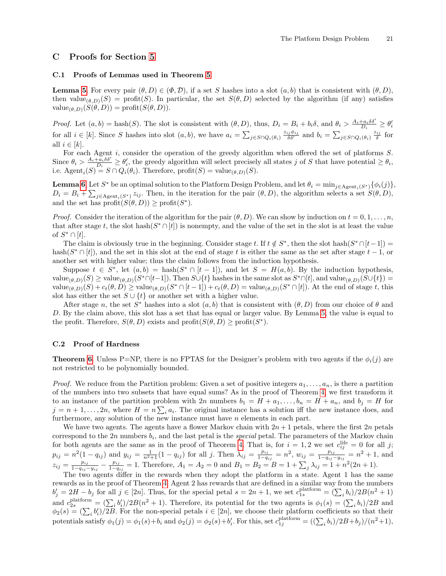## <span id="page-20-0"></span>C Proofs for Section [5](#page-8-4)

### C.1 Proofs of Lemmas used in Theorem [5](#page-10-0)

**Lemma [5](#page-9-0).** For every pair  $(\theta, D) \in (\Phi, \mathcal{D})$ , if a set S hashes into a slot  $(a, b)$  that is consistent with  $(\theta, D)$ , then value $_{(\theta,D)}(S)$  = profit(S). In particular, the set  $S(\theta, D)$  selected by the algorithm (if any) satisfies value $_{(\theta,D)}(S(\theta, D)) = \text{profit}(S(\theta, D)).$ 

Proof. Let  $(a, b) = \text{hash}(S)$ . The slot is consistent with  $(\theta, D)$ , thus,  $D_i = B_i + b_i \delta$ , and  $\theta_i > \frac{A_i + a_i \delta \delta'}{D_i} \ge \theta'_i$ for all  $i \in [k]$ . Since S hashes into slot  $(a, b)$ , we have  $a_i = \sum_{j \in S \cap Q_i(\theta_i)} \frac{z_{ij} \phi_{ij}}{\delta \delta'}$  and  $b_i = \sum_{j \in S \cap Q_i(\theta_i)} \frac{z_{ij}}{\delta}$  for all  $i \in [k]$ .

For each Agent i, consider the operation of the greedy algorithm when offered the set of platforms  $S$ . Since  $\theta_i > \frac{A_i + a_i \delta \delta'}{D_i} \geq \theta'_i$ , the greedy algorithm will select precisely all states j of S that have potential  $\geq \theta_i$ , i.e.  $\text{Agent}_i(S) = S \cap Q_i(\theta_i)$ . Therefore,  $\text{profit}(S) = \text{value}_{(\theta,D)}(S)$ .

**Lemma [6](#page-10-3).** Let  $S^*$  be an optimal solution to the Platform Design Problem, and let  $\theta_i = \min_{j \in \text{Agent}_i(S^*)} \{\phi_i(j)\},$  $D_i = B_i + \sum_{j \in \text{Agent}_i(S^*)} z_{ij}$ . Then, in the iteration for the pair  $(\theta, D)$ , the algorithm selects a set  $S(\theta, D)$ , and the set has  $\text{profit}(S(\theta, D)) \ge \text{profit}(S^*)$ .

*Proof.* Consider the iteration of the algorithm for the pair  $(\theta, D)$ . We can show by induction on  $t = 0, 1, \ldots, n$ , that after stage t, the slot hash $(S^* \cap [t])$  is nonempty, and the value of the set in the slot is at least the value of  $S^* \cap [t]$ .

The claim is obviously true in the beginning. Consider stage t. If  $t \notin S^*$ , then the slot hash $(S^* \cap [t-1]) =$ hash( $S^* \cap [t]$ ), and the set in this slot at the end of stage t is either the same as the set after stage  $t - 1$ , or another set with higher value; thus the claim follows from the induction hypothesis.

Suppose  $t \in S^*$ , let  $(a, b) = \text{hash}(S^* \cap [t-1])$ , and let  $S = H(a, b)$ . By the induction hypothesis,  $value_{(\theta,D)}(S) \geq value_{(\theta,D)}(S^* \cap [t-1])$ . Then  $S \cup \{t\}$  hashes in the same slot as  $S^* \cap [t]$ , and  $value_{(\theta,D)}(S \cup \{t\})$  $value_{(\theta,D)}(S) + c_t(\theta, D) \geq value_{(\theta,D)}(S^* \cap [t-1]) + c_t(\theta, D) = value_{(\theta,D)}(S^* \cap [t]).$  At the end of stage t, this slot has either the set  $S \cup \{t\}$  or another set with a higher value.

After stage n, the set  $S^*$  hashes into a slot  $(a, b)$  that is consistent with  $(\theta, D)$  from our choice of  $\theta$  and D. By the claim above, this slot has a set that has equal or larger value. By Lemma [5,](#page-9-0) the value is equal to the profit. Therefore,  $S(\theta, D)$  exists and  $\text{profit}(S(\theta, D) \geq \text{profit}(S^*)).$ 

## C.2 Proof of Hardness

**Theorem [6](#page-10-2).** Unless P=NP, there is no FPTAS for the Designer's problem with two agents if the  $\phi_i(j)$  are not restricted to be polynomially bounded.

*Proof.* We reduce from the Partition problem: Given a set of positive integers  $a_1, \ldots, a_n$ , is there a partition of the numbers into two subsets that have equal sums? As in the proof of Theorem [4,](#page-8-0) we first transform it to an instance of the partition problem with  $2n$  numbers  $b_1 = H + a_1, \ldots, b_n = H + a_n$ , and  $b_j = H$  for  $j = n + 1, \ldots, 2n$ , where  $H = n \sum_i a_i$ . The original instance has a solution iff the new instance does, and furthermore, any solution of the new instance must have  $n$  elements in each part.

We have two agents. The agents have a flower Markov chain with  $2n + 1$  petals, where the first  $2n$  petals correspond to the  $2n$  numbers  $b_i$ , and the last petal is the *special* petal. The parameters of the Markov chain for both agents are the same as in the proof of Theorem [4.](#page-8-0) That is, for  $i = 1, 2$  we set  $c_{ij}^{\text{life}} = 0$  for all j;  $p_{ij} = n^2(1 - q_{ij})$  and  $y_{ij} = \frac{1}{n^2+1}(1 - q_{ij})$  for all j. Then  $\lambda_{ij} = \frac{p_{ij}}{1-q}$  $\frac{p_{ij}}{1-q_{ij}}=n^2, w_{ij}=\frac{p_{ij}}{1-q_{ij}}$  $\frac{p_{ij}}{1-q_{ij}-y_{ij}} = n^2 + 1$ , and  $z_{ij} = \frac{p_{ij}}{1 - q_{ii}}$  $\frac{p_{ij}}{1-q_{ij}-y_{ij}}-\frac{p_{ij}}{1-q}$  $\frac{p_{ij}}{1-q_{ij}} = 1$ . Therefore,  $A_1 = A_2 = 0$  and  $B_1 = B_2 = B = 1 + \sum_j \lambda_{ij} = 1 + n^2(2n + 1)$ .

The two agents differ in the rewards when they adopt the platform in a state. Agent 1 has the same rewards as in the proof of Theorem [4.](#page-8-0) Agent 2 has rewards that are defined in a similar way from the numbers  $b'_j = 2H - b_j$  for all  $j \in [2n]$ . Thus, for the special petal  $s = 2n + 1$ , we set  $c_{1s}^{\text{platform}} = (\sum_i b_i)/2B(n^2 + 1)$ and  $c_{2s}^{\text{platform}} = (\sum_i b_i')/2B(n^2 + 1)$ . Therefore, its potential for the two agents is  $\phi_1(s) = (\sum_i b_i)/2B$  and  $\phi_2(s) = (\sum_i b'_i)/2B$ . For the non-special petals  $i \in [2n]$ , we choose their platform coefficients so that their potentials satisfy  $\phi_1(j) = \phi_1(s) + b_i$  and  $\phi_2(j) = \phi_2(s) + b'_i$ . For this, set  $c_{1j}^{\text{platform}} = \left( \left( \sum_i b_i \right) / 2B + b_j \right) / (n^2 + 1)$ ,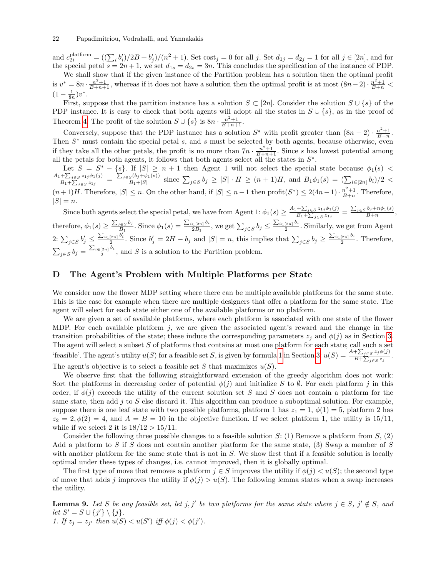and  $c_{2i}^{\text{platform}} = \left( (\sum_i b_i')/2B + b_j' \right) / (n^2 + 1)$ . Set  $\text{cost}_j = 0$  for all j. Set  $d_{1j} = d_{2j} = 1$  for all  $j \in [2n]$ , and for the special petal  $s = 2n + 1$ , we set  $d_{1s} = d_{2s} = 3n$ . This concludes the specification of the instance of PDP.

We shall show that if the given instance of the Partition problem has a solution then the optimal profit is  $v^* = 8n \cdot \frac{n^2+1}{B+n+1}$ , whereas if it does not have a solution then the optimal profit is at most  $(8n-2) \cdot \frac{n^2+1}{B+n}$  $(1-\frac{1}{8n})v^*$ .

First, suppose that the partition instance has a solution  $S \subset [2n]$ . Consider the solution  $S \cup \{s\}$  of the PDP instance. It is easy to check that both agents will adopt all the states in  $S \cup \{s\}$ , as in the proof of Theorem [4.](#page-8-0) The profit of the solution  $S \cup \{s\}$  is  $8n \cdot \frac{n^2+1}{B+n+1}$ .

Conversely, suppose that the PDP instance has a solution  $S^*$  with profit greater than  $(8n-2) \cdot \frac{n^2+1}{B+n}$ . Then  $S^*$  must contain the special petal s, and s must be selected by both agents, because otherwise, even if they take all the other petals, the profit is no more than  $7n \cdot \frac{n^2+1}{B+n+1}$ . Since s has lowest potential among all the petals for both agents, it follows that both agents select all the states in  $S^*$ .

Let  $S = S^* - \{s\}$ . If  $|S| \ge n + 1$  then Agent 1 will not select the special state because  $\phi_1(s) < A_1 + \sum_{j \in S} z_{1j} \phi_1(j) = \sum_{j \in S} (b_j + \phi_1(s))$  since  $\sum_{j \in S} b_j \ge |S|$   $H \ge (n+1)H$  and  $B_1 \phi_1(s) = (\sum_{j \in S} b_j)/2$  $\frac{+\sum_{j\in S} z_{1j}\phi_1(j)}{B_1+\sum_{j\in S} z_{1j}} = \frac{\sum_{j\in S}(b_j+\phi_1(s))}{B_1+|S|}$  $\frac{S^{(0)} + \varphi_1(s)}{B_1 + |S|}$  since  $\sum_{j \in S} b_j \geq |S| \cdot H \geq (n+1)H$ , and  $B_1 \phi_1(s) = (\sum_{i \in [2n]} b_i)/2$  $(n+1)H$ . Therefore,  $|S| \leq n$ . On the other hand, if  $|S| \leq n-1$  then  $\text{profit}(S^*) \leq 2(4n-1) \cdot \frac{n^2+1}{B+n}$ . Therefore,  $|S| = n$ .

Since both agents select the special petal, we have from Agent 1:  $\phi_1(s) \geq \frac{A_1 + \sum_{j \in S} z_{1j} \phi_1(j)}{B_1 + \sum_{j \in S} z_{1j}}$  $\frac{+\sum_{j\in S} z_{1j} \phi_1(j)}{B_1 + \sum_{j\in S} z_{1j}} = \frac{\sum_{j\in S} b_j + n\phi_1(s)}{B+n}$  $\frac{\sigma_j + n\varphi_1(s)}{B+n},$ therefore,  $\phi_1(s) \geq \frac{\sum_{j \in S} b_j}{B_1}$  $\frac{b_i \in S} {B_1}$ , Since  $\phi_1(s) = \frac{\sum_{i \in [2n]} b_i}{2B_1}$  $\frac{\epsilon_{[2n]}b_i}{2B_1}$ , we get  $\sum_{j \in S} b_j \leq \frac{\sum_{i \in [2n]}b_i}{2}$  $\frac{[2n]^{o_i}}{2}$ . Similarly, we get from Agent 2:  $\sum_{j \in S} b'_j \le \frac{\sum_{i \in [2n]} b'_i}{2}$ . Since  $b'_j = 2H - b_j$  and  $|S| = n$ , this implies that  $\sum_{j \in S} b_j \ge \frac{\sum_{i \in [2n]} b_i}{2}$  $\frac{\left[2n\right]^{O_1}}{2}$ . Therefore,  $\sum_{j \in S} b_j = \frac{\sum_{i \in [2n]} b_i}{2}$  $\frac{[2n]^{(2n)}}{2}$ , and S is a solution to the Partition problem.

## <span id="page-21-1"></span>D The Agent's Problem with Multiple Platforms per State

We consider now the flower MDP setting where there can be multiple available platforms for the same state. This is the case for example when there are multiple designers that offer a platform for the same state. The agent will select for each state either one of the available platforms or no platform.

We are given a set of available platforms, where each platform is associated with one state of the flower MDP. For each available platform  $j$ , we are given the associated agent's reward and the change in the transition probabilities of the state; these induce the corresponding parameters  $z_i$  and  $\phi(j)$  as in Section [3.](#page-4-4) The agent will select a subset  $S$  of platforms that contains at most one platform for each state; call such a set 'feasible'. The agent's utility  $u(S)$  for a feasible set S, is given by formula [1](#page-5-1) in Section [3:](#page-4-4)  $u(S) = \frac{A + \sum_{j \in S} z_j \phi(j)}{B + \sum_{j \in S} z_j}$  $\frac{\sum_{j\in S}\sum_{j\in V}y(y_j)}{B+\sum_{j\in S}z_j}.$ The agent's objective is to select a feasible set S that maximizes  $u(S)$ .

We observe first that the following straightforward extension of the greedy algorithm does not work: Sort the platforms in decreasing order of potential  $\phi(i)$  and initialize S to Ø. For each platform j in this order, if  $\phi(j)$  exceeds the utility of the current solution set S and S does not contain a platform for the same state, then add  $j$  to  $S$  else discard it. This algorithm can produce a suboptimal solution. For example, suppose there is one leaf state with two possible platforms, platform 1 has  $z_1 = 1$ ,  $\phi(1) = 5$ , platform 2 has  $z_2 = 2, \phi(2) = 4$ , and  $A = B = 10$  in the objective function. If we select platform 1, the utility is 15/11, while if we select 2 it is  $18/12 > 15/11$ .

Consider the following three possible changes to a feasible solution  $S: (1)$  Remove a platform from  $S, (2)$ Add a platform to S if S does not contain another platform for the same state, (3) Swap a member of S with another platform for the same state that is not in  $S$ . We show first that if a feasible solution is locally optimal under these types of changes, i.e. cannot improved, then it is globally optimal.

The first type of move that removes a platform  $j \in S$  improves the utility if  $\phi(j) < u(S)$ ; the second type of move that adds j improves the utility if  $\phi(j) > u(S)$ . The following lemma states when a swap increases the utility.

<span id="page-21-0"></span>**Lemma 9.** Let S be any feasible set, let j, j' be two platforms for the same state where  $j \in S$ ,  $j' \notin S$ , and let  $S' = S \cup \{j'\} \setminus \{j\}.$ 1. If  $z_j = z_{j'}$  then  $u(S) < u(S')$  iff  $\phi(j) < \phi(j')$ .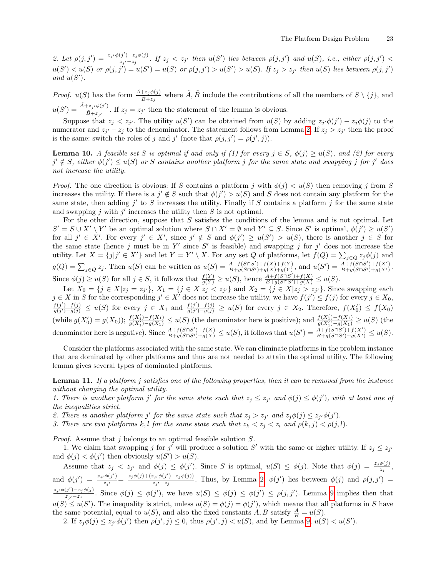2. Let  $\rho(j, j') = \frac{z_{j'} \phi(j') - z_j \phi(j)}{z_{j'} - z_j}$  $\frac{(j) - z_j \varphi(j)}{z_{j'} - z_j}$ . If  $z_j < z_{j'}$  then  $u(S')$  lies between  $\rho(j, j')$  and  $u(S)$ , i.e., either  $\rho(j, j') <$  $u(S') < u(S)$  or  $\rho(j, j') = u(S') = u(S)$  or  $\rho(j, j') > u(S') > u(S)$ . If  $z_j > z_{j'}$  then  $u(S)$  lies between  $\rho(j, j')$ and  $u(S')$ .

*Proof.*  $u(S)$  has the form  $\frac{\tilde{A}+z_j\phi(j)}{\tilde{B}+z_j}$  where  $\tilde{A}, \tilde{B}$  include the contributions of all the members of  $S \setminus \{j\}$ , and  $u(S') = \frac{\tilde{A}+z_{j'}\phi(j')}{\tilde{B}+z_{j'}}$  $\frac{\tilde{B}+z_j}{\tilde{B}+z_{j'}}$ . If  $z_j=z_{j'}$  then the statement of the lemma is obvious.

Suppose that  $z_j < z_{j'}$ . The utility  $u(S')$  can be obtained from  $u(S)$  by adding  $z_{j'}\phi(j') - z_j\phi(j)$  to the numerator and  $z_{j'} - z_j$  to the denominator. The statement follows from Lemma [2.](#page-6-0) If  $z_j > z_{j'}$  then the proof is the same: switch the roles of j and j' (note that  $\rho(j, j') = \rho(j', j)$ ).

<span id="page-22-1"></span>**Lemma 10.** A feasible set S is optimal if and only if (1) for every  $j \in S$ ,  $\phi(j) \ge u(S)$ , and (2) for every  $j' \notin S$ , either  $\phi(j') \leq u(S)$  or S contains another platform j for the same state and swapping j for j' does not increase the utility.

*Proof.* The one direction is obvious: If S contains a platform j with  $\phi(j) < u(S)$  then removing j from S increases the utility. If there is a  $j' \notin S$  such that  $\phi(j') > u(S)$  and S does not contain any platform for the same state, then adding  $j'$  to S increases the utility. Finally if S contains a platform j for the same state and swapping  $j$  with  $j'$  increases the utility then  $S$  is not optimal.

For the other direction, suppose that S satisfies the conditions of the lemma and is not optimal. Let  $S' = S \cup X' \setminus Y'$  be an optimal solution where  $S \cap X' = \emptyset$  and  $Y' \subseteq S$ . Since S' is optimal,  $\phi(j') \ge u(S')$ for all  $j' \in X'$ . For every  $j' \in X'$ , since  $j' \notin S$  and  $\phi(j') \ge u(S') > u(S)$ , there is another  $j \in S$  for the same state (hence j must be in Y' since S' is feasible) and swapping j for j' does not increase the utility. Let  $X = \{j | j' \in X'\}$  and let  $Y = Y' \setminus X$ . For any set Q of platforms, let  $f(Q) = \sum_{j \in Q} z_j \phi(j)$  and  $g(Q) = \sum_{j \in Q} z_j$ . Then  $u(S)$  can be written as  $u(S) = \frac{A+f(S \cap S') + f(X) + f(Y)}{B+g(S \cap S') + g(X) + g(Y)}$ , and  $u(S') = \frac{A+f(S \cap S') + f(X') + f(Y')}{B+g(S \cap S') + g(X) + g(Y)}$ . Since  $\phi(j) \ge u(S)$  for all  $j \in S$ , it follows that  $\frac{f(Y)}{g(Y)} \ge u(S)$ , hence  $\frac{A+f(S \cap S') + f(X)}{B+g(S \cap S') + g(X)} \le u(S)$ .

Let  $X_0 = \{j \in X | z_j = z_{j'}\}, X_1 = \{j \in X | z_j < z_{j'}\}$  and  $X_2 = \{j \in X | z_j > z_{j'}\}.$  Since swapping each  $j \in X$  in S for the corresponding  $j' \in X'$  does not increase the utility, we have  $f(j') \leq f(j)$  for every  $j \in X_0$ ,<br> $f(j')-f(j) \leq g(S)$  for every  $j \in X$  and  $f(j')-f(j) \geq g(S)$  for every  $j \in X$ . Therefore,  $f(Y') \leq f(Y)$  $\frac{f(j')-f(j)}{g(j')-g(j)} \leq u(S)$  for every  $j \in X_1$  and  $\frac{f(j')-f(j)}{g(j')-g(j)}$  $\frac{f(j')-f(j)}{g(j')-g(j)} \geq u(S)$  for every  $j \in X_2$ . Therefore,  $f(X'_0) \leq f(X_0)$  $(\text{while } g(X_0') = g(X_0)); \frac{f(X_1') - f(X_1)}{g(X_1') - g(X_1)} \leq u(S)$  (the denominator here is positive); and  $\frac{f(X_1') - f(X_1)}{g(X_1') - g(X_1)} \geq u(S)$  (the denominator here is negative). Since  $\frac{A+f(S\cap S')+f(X)}{B+g(S\cap S')+g(X)} \leq u(S)$ , it follows that  $u(S') = \frac{A+f(S\cap S')+f(X')}{B+g(S\cap S')+g(X')} \leq u(S)$ .

Consider the platforms associated with the same state. We can eliminate platforms in the problem instance that are dominated by other platforms and thus are not needed to attain the optimal utility. The following lemma gives several types of dominated platforms.

<span id="page-22-0"></span>Lemma 11. If a platform j satisfies one of the following properties, then it can be removed from the instance without changing the optimal utility.

1. There is another platform j' for the same state such that  $z_j \leq z_{j'}$  and  $\phi(j) \leq \phi(j')$ , with at least one of the inequalities strict.

2. There is another platform j' for the same state such that  $z_j > z_{j'}$  and  $z_j \phi(j) \leq z_{j'} \phi(j')$ .

3. There are two platforms k, l for the same state such that  $z_k < z_j < z_l$  and  $\rho(k, j) < \rho(j, l)$ .

*Proof.* Assume that  $j$  belongs to an optimal feasible solution  $S$ .

1. We claim that swapping j for j' will produce a solution S' with the same or higher utility. If  $z_j \leq z_{j'}$ and  $\phi(j) < \phi(j')$  then obviously  $u(S') > u(S)$ .

Assume that  $z_j \leq z_{j'}$  and  $\phi(j) \leq \phi(j')$ . Since S is optimal,  $u(S) \leq \phi(j)$ . Note that  $\phi(j) = \frac{z_j \phi(j)}{z_j}$ , and  $\phi(j') = \frac{z_{j'}\phi(j')}{z}$  $\frac{\phi(j')}{z_{j'}} = \frac{z_j \phi(j) + (z_{j'} \phi(j') - z_j \phi(j))}{z_{j'} - z_j}$  $\frac{z_{j'}\varphi(j')-z_j\varphi(j))}{z_{j'}-z_j}$ . Thus, by Lemma [2,](#page-6-0)  $\phi(j')$  lies between  $\phi(j)$  and  $\rho(j,j') =$  $z_{j'}\phi(j')-z_j\phi(j)$  $\overline{a}$  $\frac{(j) - z_j \phi(j)}{z_{j'} - z_j}$ . Since  $\phi(j) \leq \phi(j')$ , we have  $u(S) \leq \phi(j) \leq \phi(j') \leq \rho(j, j')$ . Lemma [9](#page-21-0) implies then that  $u(S) \leq u(S')$ . The inequality is strict, unless  $u(S) = \phi(j) = \phi(j')$ , which means that all platforms in S have the same potential, equal to  $u(S)$ , and also the fixed constants  $A, B$  satisfy  $\frac{A}{B} = u(S)$ .

2. If  $z_j \phi(j) \leq z_{j'} \phi(j')$  then  $\rho(j', j) \leq 0$ , thus  $\rho(j', j) < u(S)$ , and by Lemma [9,](#page-21-0)  $u(S) < u(S')$ .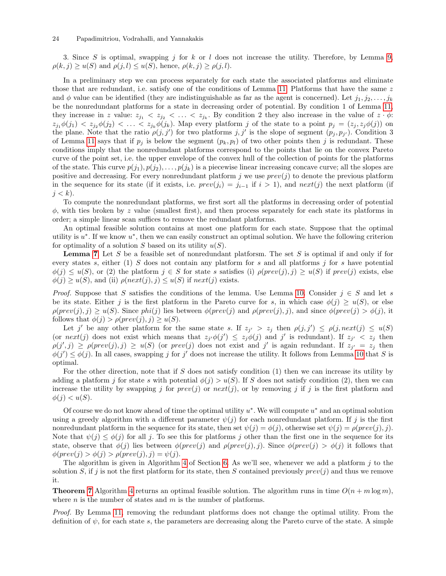3. Since S is optimal, swapping j for k or l does not increase the utility. Therefore, by Lemma [9,](#page-21-0)  $\rho(k, j) \ge u(S)$  and  $\rho(j, l) \le u(S)$ , hence,  $\rho(k, j) \ge \rho(j, l)$ .

In a preliminary step we can process separately for each state the associated platforms and eliminate those that are redundant, i.e. satisfy one of the conditions of Lemma [11.](#page-22-0) Platforms that have the same  $z$ and  $\phi$  value can be identified (they are indistinguishable as far as the agent is concerned). Let  $j_1, j_2, \ldots, j_k$ be the nonredundant platforms for a state in decreasing order of potential. By condition 1 of Lemma [11,](#page-22-0) they increase in z value:  $z_{j_1} < z_{j_2} < \ldots < z_{j_k}$ . By condition 2 they also increase in the value of  $z \cdot \phi$ :  $z_{j_1}\phi(j_1) < z_{j_2}\phi(j_2) < \ldots < z_{j_k}\phi(j_k)$ . Map every platform j of the state to a point  $p_j = (z_j, z_j\phi(j))$  on the plane. Note that the ratio  $\rho(j, j')$  for two platforms j, j' is the slope of segment  $(p_j, p_{j'})$ . Condition 3 of Lemma [11](#page-22-0) says that if  $p_i$  is below the segment  $(p_k, p_l)$  of two other points then j is redundant. These conditions imply that the nonredundant platforms correspond to the points that lie on the convex Pareto curve of the point set, i.e. the upper envelope of the convex hull of the collection of points for the platforms of the state. This curve  $p(j_1), p(j_2), \ldots, p(j_k)$  is a piecewise linear increasing concave curve; all the slopes are positive and decreasing. For every nonredundant platform j we use  $prev(j)$  to denote the previous platform in the sequence for its state (if it exists, i.e.  $prev(j_i) = j_{i-1}$  if  $i > 1$ ), and  $next(j)$  the next platform (if  $j < k$ ).

To compute the nonredundant platforms, we first sort all the platforms in decreasing order of potential  $\phi$ , with ties broken by z value (smallest first), and then process separately for each state its platforms in order; a simple linear scan suffices to remove the redundant platforms.

An optimal feasible solution contains at most one platform for each state. Suppose that the optimal utility is  $u^*$ . If we know  $u^*$ , then we can easily construct an optimal solution. We have the following criterion for optimality of a solution S based on its utility  $u(S)$ .

**Lemma [7](#page-11-2).** Let S be a feasible set of nonredundant platforsm. The set S is optimal if and only if for every states s, either (1) S does not contain any platform for s and all platforms  $j$  for s have potential  $\phi(j) \leq u(S)$ , or (2) the platform  $j \in S$  for state s satisfies (i)  $\rho(prev(j), j) \geq u(S)$  if  $prev(j)$  exists, else  $\phi(j) \geq u(S)$ , and (ii)  $\rho(next(j), j) \leq u(S)$  if  $next(j)$  exists.

*Proof.* Suppose that S satisfies the conditions of the lemma. Use Lemma [10.](#page-22-1) Consider  $j \in S$  and let s be its state. Either j is the first platform in the Pareto curve for s, in which case  $\phi(j) \geq u(S)$ , or else  $\rho(\text{prev}(j), j) \ge u(S)$ . Since phi(j) lies between  $\phi(\text{prev}(j)$  and  $\rho(\text{prev}(j), j)$ , and since  $\phi(\text{prev}(j) > \phi(j))$ , it follows that  $\phi(j) > \rho(\text{prev}(j), j) \geq u(S)$ .

Let j' be any other platform for the same state s. If  $z_{j'} > z_j$  then  $\rho(j, j') \leq \rho(j, next(j) \leq u(S))$ (or next(j) does not exist which means that  $z_{j'}\phi(j') \leq z_j\phi(j)$  and j' is redundant). If  $z_{j'} < z_j$  then  $\rho(j',j) \ge \rho(\text{prev}(j),j) \ge u(S)$  (or  $\text{prev}(j)$  does not exist and j' is again redundant. If  $z_{j'} = z_j$  then  $\phi(j') \leq \phi(j)$ . In all cases, swapping j for j' does not increase the utility. It follows from Lemma [10](#page-22-1) that S is optimal.

For the other direction, note that if  $S$  does not satisfy condition (1) then we can increase its utility by adding a platform j for state s with potential  $\phi(j) > u(S)$ . If S does not satisfy condition (2), then we can increase the utility by swapping j for  $prev(j)$  or  $next(j)$ , or by removing j if j is the first platform and  $\phi(j) < u(S)$ .

Of course we do not know ahead of time the optimal utility  $u^*$ . We will compute  $u^*$  and an optimal solution using a greedy algorithm with a different parameter  $\psi(j)$  for each nonredundant platform. If j is the first nonredundant platform in the sequence for its state, then set  $\psi(j) = \phi(j)$ , otherwise set  $\psi(j) = \rho(\text{prev}(j), j)$ . Note that  $\psi(j) \leq \phi(j)$  for all j. To see this for platforms j other than the first one in the sequence for its state, observe that  $\phi(j)$  lies between  $\phi(\text{prev}(j)$  and  $\rho(\text{prev}(j), j)$ . Since  $\phi(\text{prev}(j) > \phi(j))$  it follows that  $\phi(\text{prev}(j) > \phi(j) > \rho(\text{prev}(j), j) = \psi(j)).$ 

The algorithm is given in Algorithm [4](#page-11-1) of Section [6.](#page-10-4) As we'll see, whenever we add a platform  $j$  to the solution S, if j is not the first platform for its state, then S contained previously  $prev(j)$  and thus we remove it.

**Theorem [7](#page-11-0)** Algorithm [4](#page-11-1) returns an optimal feasible solution. The algorithm runs in time  $O(n + m \log m)$ , where  $n$  is the number of states and  $m$  is the number of platforms.

Proof. By Lemma [11,](#page-22-0) removing the redundant platforms does not change the optimal utility. From the definition of  $\psi$ , for each state s, the parameters are decreasing along the Pareto curve of the state. A simple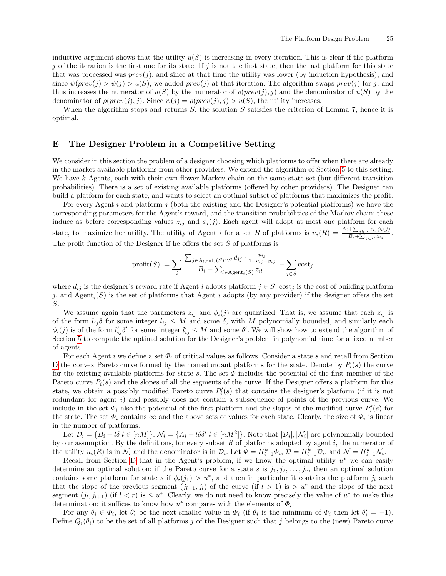inductive argument shows that the utility  $u(S)$  is increasing in every iteration. This is clear if the platform j of the iteration is the first one for its state. If j is not the first state, then the last platform for this state that was processed was  $prev(j)$ , and since at that time the utility was lower (by induction hypothesis), and since  $\psi(\text{prev}(j) > \psi(j) > u(S))$ , we added  $\text{prev}(j)$  at that iteration. The algorithm swaps  $\text{prev}(j)$  for j, and thus increases the numerator of  $u(S)$  by the numerator of  $\rho(rev(j), j)$  and the denominator of  $u(S)$  by the denominator of  $\rho(\text{prev}(j), j)$ . Since  $\psi(j) = \rho(\text{prev}(j), j) > u(S)$ , the utility increases.

When the algorithm stops and returns  $S$ , the solution  $S$  satisfies the criterion of Lemma [7,](#page-11-2) hence it is optimal.

## E The Designer Problem in a Competitive Setting

We consider in this section the problem of a designer choosing which platforms to offer when there are already in the market available platforms from other providers. We extend the algorithm of Section [5](#page-8-4) to this setting. We have k Agents, each with their own flower Markov chain on the same state set (but different transition probabilities). There is a set of existing available platforms (offered by other providers). The Designer can build a platform for each state, and wants to select an optimal subset of platforms that maximizes the profit.

For every Agent  $i$  and platform  $j$  (both the existing and the Designer's potential platforms) we have the corresponding parameters for the Agent's reward, and the transition probabilities of the Markov chain; these induce as before corresponding values  $z_{ij}$  and  $\phi_i(j)$ . Each agent will adopt at most one platform for each state, to maximize her utility. The utility of Agent i for a set R of platforms is  $u_i(R) = \frac{A_i + \sum_{j \in R} z_{ij} \phi_i(j)}{B_i + \sum_{j \in R} z_{ij}}$  $\frac{1 \sum_{j \in R} z_{ij} \varphi_i(j)}{B_i + \sum_{j \in R} z_{ij}}.$ The profit function of the Designer if he offers the set S of platforms is

$$
\textnormal{profit}(S) := \sum_i \frac{\sum_{j \in \textnormal{Agent}_i(S) \cap S} d_{ij} \cdot \frac{p_{ij}}{1 - q_{ij} - y_{ij}}}{B_i + \sum_{l \in \textnormal{Agent}_i(S)} z_{il}} - \sum_{j \in S} \textnormal{cost}_j
$$

where  $d_{ij}$  is the designer's reward rate if Agent i adopts platform  $j \in S$ , cost<sub>j</sub> is the cost of building platform j, and  $\mathrm{Agent}_i(S)$  is the set of platforms that Agent i adopts (by any provider) if the designer offers the set S.

We assume again that the parameters  $z_{ij}$  and  $\phi_i(j)$  are quantized. That is, we assume that each  $z_{ij}$  is of the form  $l_{ij}\delta$  for some integer  $l_{ij} \leq M$  and some  $\delta$ , with M polynomially bounded, and similarly each  $\phi_i(j)$  is of the form  $l'_{ij} \delta'$  for some integer  $l'_{ij} \leq M$  and some  $\delta'$ . We will show how to extend the algorithm of Section [5](#page-8-4) to compute the optimal solution for the Designer's problem in polynomial time for a fixed number of agents.

For each Agent i we define a set  $\Phi_i$  of critical values as follows. Consider a state s and recall from Section [D](#page-21-1) the convex Pareto curve formed by the nonredundant platforms for the state. Denote by  $P_i(s)$  the curve for the existing available platforms for state s. The set  $\Phi$  includes the potential of the first member of the Pareto curve  $P_i(s)$  and the slopes of all the segments of the curve. If the Designer offers a platform for this state, we obtain a possibly modified Pareto curve  $P_i'(s)$  that contains the designer's platform (if it is not redundant for agent i) and possibly does not contain a subsequence of points of the previous curve. We include in the set  $\Phi_i$  also the potential of the first platform and the slopes of the modified curve  $P'_i(s)$  for the state. The set  $\Phi_i$  contains  $\infty$  and the above sets of values for each state. Clearly, the size of  $\Phi_i$  is linear in the number of platforms.

Let  $\mathcal{D}_i = \{B_i + l\delta | l \in [nM]\}, \mathcal{N}_i = \{A_i + l\delta\delta' | l \in [nM^2]\}.$  Note that  $|\mathcal{D}_i|, |\mathcal{N}_i|$  are polynomially bounded by our assumption. By the definitions, for every subset  $R$  of platforms adopted by agent  $i$ , the numerator of the utility  $u_i(R)$  is in  $\mathcal{N}_i$  and the denominator is in  $\mathcal{D}_i$ . Let  $\Phi = \Pi_{i=1}^k \Phi_i$ ,  $\mathcal{D} = \Pi_{i=1}^k \mathcal{D}_i$ , and  $\mathcal{N} = \Pi_{i=1}^k \mathcal{N}_i$ .

Recall from Section [D](#page-21-1) that in the Agent's problem, if we know the optimal utility  $u^*$  we can easily determine an optimal solution: if the Pareto curve for a state s is  $j_1, j_2, \ldots, j_r$ , then an optimal solution contains some platform for state s if  $\phi_i(j_1) > u^*$ , and then in particular it contains the platform  $j_l$  such that the slope of the previous segment  $(j_{l-1}, j_l)$  of the curve (if  $l > 1$ ) is  $> u^*$  and the slope of the next segment  $(j_l, j_{l+1})$  (if  $l < r$ ) is  $\leq u^*$ . Clearly, we do not need to know precisely the value of  $u^*$  to make this determination: it suffices to know how  $u^*$  compares with the elements of  $\Phi_i$ .

For any  $\theta_i \in \Phi_i$ , let  $\theta'_i$  be the next smaller value in  $\Phi_i$  (if  $\theta_i$  is the minimum of  $\Phi_i$  then let  $\theta'_i = -1$ ). Define  $Q_i(\theta_i)$  to be the set of all platforms j of the Designer such that j belongs to the (new) Pareto curve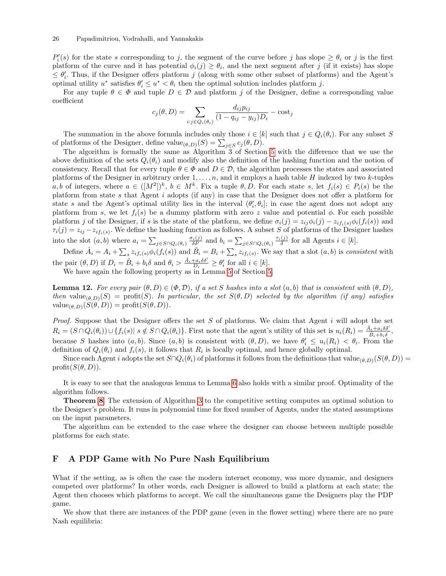$P'_i(s)$  for the state s corresponding to j, the segment of the curve before j has slope  $\geq \theta_i$  or j is the first platform of the curve and it has potential  $\phi_i(j) \geq \theta_i$ , and the next segment after j (if it exists) has slope  $\leq \theta'_i$ . Thus, if the Designer offers platform j (along with some other subset of platforms) and the Agent's optimal utility  $u^*$  satisfies  $\theta'_i \leq u^* < \theta_i$  then the optimal solution includes platform j.

For any tuple  $\theta \in \Phi$  and tuple  $D \in \mathcal{D}$  and platform j of the Designer, define a corresponding value coefficient

$$
c_j(\theta, D) = \sum_{i:j \in Q_i(\theta_i)} \frac{d_{ij}p_{ij}}{(1 - q_{ij} - y_{ij})D_i} - \text{cost}_j
$$

The summation in the above formula includes only those  $i \in [k]$  such that  $j \in Q_i(\theta_i)$ . For any subset S of platforms of the Designer, define value $_{(\theta,D)}(S) = \sum_{j \in S} c_j(\theta, D)$ .

The algorithm is formally the same as Algorithm 3 of Section [5](#page-8-4) with the difference that we use the above definition of the sets  $Q_i(\theta_i)$  and modify also the definition of the hashing function and the notion of consistency. Recall that for every tuple  $\theta \in \Phi$  and  $D \in \mathcal{D}$ , the algorithm processes the states and associated platforms of the Designer in arbitrary order  $1, \ldots, n$ , and it employs a hash table H indexed by two k-tuples a, b of integers, where  $a \in ([M^2])^k$ ,  $b \in M^k$ . Fix a tuple  $\theta, D$ . For each state s, let  $f_i(s) \in P_i(s)$  be the platform from state s that Agent  $i$  adopts (if any) in case that the Designer does not offer a platform for state s and the Agent's optimal utility lies in the interval  $(\theta_i', \theta_i]$ ; in case the agent does not adopt any platform from s, we let  $f_i(s)$  be a dummy platform with zero z value and potential  $\phi$ . For each possible platform j of the Designer, if s is the state of the platform, we define  $\sigma_i(j) = z_{ij}\phi_i(j) - z_{if_i(s)}\phi_i(f_i(s))$  and  $\tau_i(j) = z_{ij} - z_{if_i(s)}$ . We define the hashing function as follows. A subset S of platforms of the Designer hashes into the slot  $(a, b)$  where  $a_i = \sum_{j \in S \cap Q_i(\theta_i)} \frac{\sigma_i(j)}{\delta \delta'}$  and  $b_i = \sum_{j \in S \cap Q_i(\theta_i)} \frac{\tau_i(j)}{\delta}$  for all Agents  $i \in [k]$ .

Define  $\hat{A}_i = A_i + \sum_s z_{if_i(s)} \phi_i(f_i(s))$  and  $\hat{B}_i = B_i + \sum_s z_{if_i(s)}$ . We say that a slot  $(a, b)$  is consistent with the pair  $(\theta, D)$  if  $D_i = \hat{B}_i + b_i \delta$  and  $\theta_i > \frac{\hat{A}_i + a_i \delta \delta'}{D_i} \ge \theta'_i$  for all  $i \in [k]$ .

We have again the following property as in Lemma [5](#page-9-0) of Section [5.](#page-8-4)

**Lemma 12.** For every pair  $(\theta, D) \in (\Phi, \mathcal{D})$ , if a set S hashes into a slot  $(a, b)$  that is consistent with  $(\theta, D)$ , then value<sub>(θ,D)</sub>(S) = profit(S). In particular, the set  $S(\theta, D)$  selected by the algorithm (if any) satisfies  $value_{(\theta, D)}(S(\theta, D)) = \text{profit}(S(\theta, D)).$ 

Proof. Suppose that the Designer offers the set  $S$  of platforms. We claim that Agent  $i$  will adopt the set  $R_i = (S \cap Q_i(\theta_i)) \cup \{f_i(s) | s \notin S \cap Q_i(\theta_i)\}.$  First note that the agent's utility of this set is  $u_i(R_i) = \frac{\hat{A}_i + a_i \delta \delta'}{\hat{B}_i + b_i \delta}$ , because S hashes into  $(a, b)$ . Since  $(a, b)$  is consistent with  $(\theta, D)$ , we have  $\theta_i' \leq u_i(R_i) < \theta_i$ . From the definition of  $Q_i(\theta_i)$  and  $f_i(s)$ , it follows that  $R_i$  is locally optimal, and hence globally optimal.

Since each Agent i adopts the set  $S \cap Q_i(\theta_i)$  of platforms it follows from the definitions that value $_{(\theta,D)}(S(\theta,D))$  = profit $(S(\theta, D)).$ 

It is easy to see that the analogous lemma to Lemma [6](#page-10-3) also holds with a similar proof. Optimality of the algorithm follows.

Theorem [8](#page-12-0). The extension of Algorithm [3](#page-10-1) to the competitive setting computes an optimal solution to the Designer's problem. It runs in polynomial time for fixed number of Agents, under the stated assumptions on the input parameters.

The algorithm can be extended to the case where the designer can choose between multiple possible platforms for each state.

## <span id="page-25-0"></span>F A PDP Game with No Pure Nash Equilibrium

What if the setting, as is often the case the modern internet economy, was more dynamic, and designers competed over platforms? In other words, each Designer is allowed to build a platform at each state; the Agent then chooses which platforms to accept. We call the simultaneous game the Designers play the PDP game.

We show that there are instances of the PDP game (even in the flower setting) where there are no pure Nash equilibria: